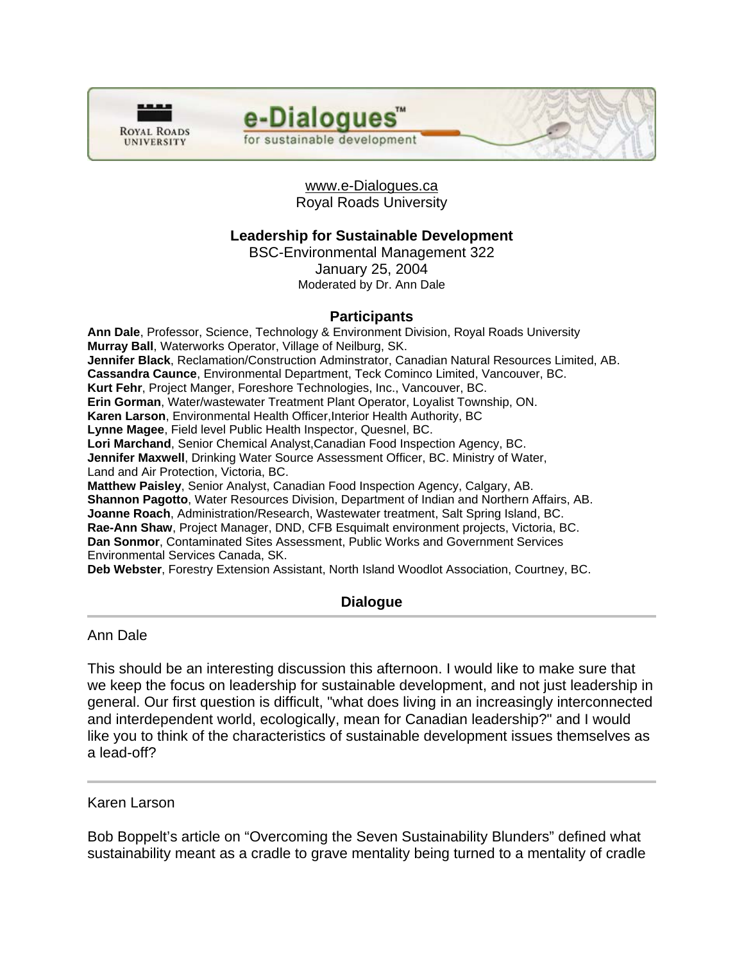



www.e-Dialogues.ca Royal Roads University

# **Leadership for Sustainable Development**

BSC-Environmental Management 322 January 25, 2004 Moderated by Dr. Ann Dale

# **Participants**

**Ann Dale**, Professor, Science, Technology & Environment Division, Royal Roads University **Murray Ball**, Waterworks Operator, Village of Neilburg, SK. **Jennifer Black**, Reclamation/Construction Adminstrator, Canadian Natural Resources Limited, AB. **Cassandra Caunce**, Environmental Department, Teck Cominco Limited, Vancouver, BC. **Kurt Fehr**, Project Manger, Foreshore Technologies, Inc., Vancouver, BC. **Erin Gorman**, Water/wastewater Treatment Plant Operator, Loyalist Township, ON. **Karen Larson**, Environmental Health Officer,Interior Health Authority, BC **Lynne Magee**, Field level Public Health Inspector, Quesnel, BC. **Lori Marchand**, Senior Chemical Analyst,Canadian Food Inspection Agency, BC. **Jennifer Maxwell**, Drinking Water Source Assessment Officer, BC. Ministry of Water, Land and Air Protection, Victoria, BC. **Matthew Paisley**, Senior Analyst, Canadian Food Inspection Agency, Calgary, AB. **Shannon Pagotto**, Water Resources Division, Department of Indian and Northern Affairs, AB. **Joanne Roach**, Administration/Research, Wastewater treatment, Salt Spring Island, BC. **Rae-Ann Shaw**, Project Manager, DND, CFB Esquimalt environment projects, Victoria, BC. **Dan Sonmor**, Contaminated Sites Assessment, Public Works and Government Services Environmental Services Canada, SK. **Deb Webster**, Forestry Extension Assistant, North Island Woodlot Association, Courtney, BC.

# **Dialogue**

Ann Dale

This should be an interesting discussion this afternoon. I would like to make sure that we keep the focus on leadership for sustainable development, and not just leadership in general. Our first question is difficult, "what does living in an increasingly interconnected and interdependent world, ecologically, mean for Canadian leadership?" and I would like you to think of the characteristics of sustainable development issues themselves as a lead-off?

### Karen Larson

Bob Boppelt's article on "Overcoming the Seven Sustainability Blunders" defined what sustainability meant as a cradle to grave mentality being turned to a mentality of cradle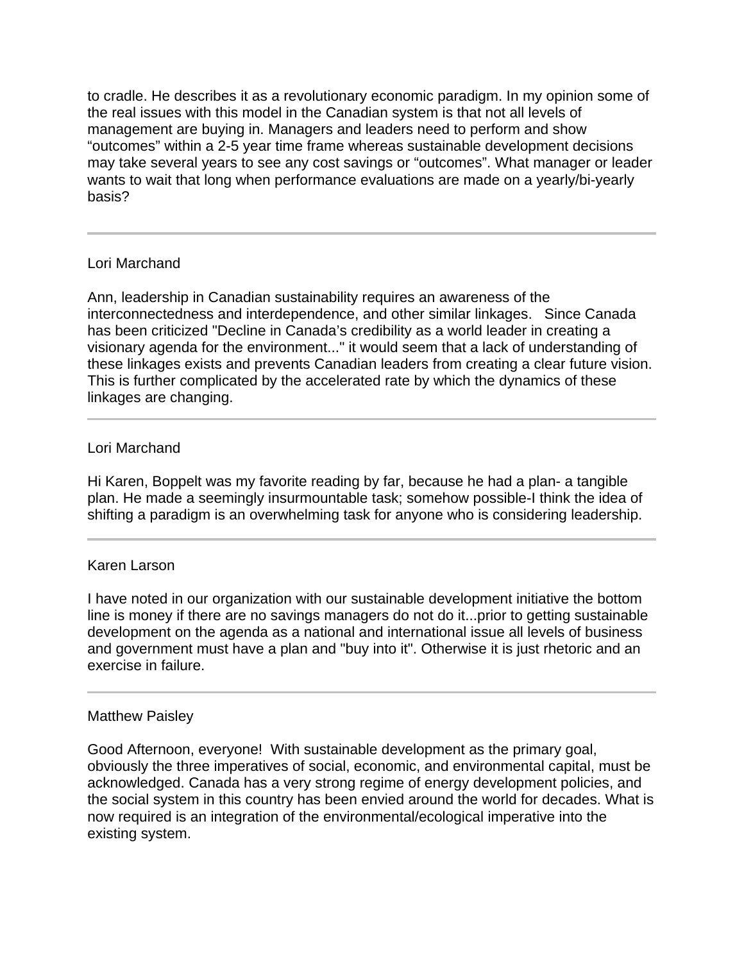to cradle. He describes it as a revolutionary economic paradigm. In my opinion some of the real issues with this model in the Canadian system is that not all levels of management are buying in. Managers and leaders need to perform and show "outcomes" within a 2-5 year time frame whereas sustainable development decisions may take several years to see any cost savings or "outcomes". What manager or leader wants to wait that long when performance evaluations are made on a yearly/bi-yearly basis?

# Lori Marchand

Ann, leadership in Canadian sustainability requires an awareness of the interconnectedness and interdependence, and other similar linkages. Since Canada has been criticized "Decline in Canada's credibility as a world leader in creating a visionary agenda for the environment..." it would seem that a lack of understanding of these linkages exists and prevents Canadian leaders from creating a clear future vision. This is further complicated by the accelerated rate by which the dynamics of these linkages are changing.

### Lori Marchand

ı

Hi Karen, Boppelt was my favorite reading by far, because he had a plan- a tangible plan. He made a seemingly insurmountable task; somehow possible-I think the idea of shifting a paradigm is an overwhelming task for anyone who is considering leadership.

### Karen Larson

I have noted in our organization with our sustainable development initiative the bottom line is money if there are no savings managers do not do it...prior to getting sustainable development on the agenda as a national and international issue all levels of business and government must have a plan and "buy into it". Otherwise it is just rhetoric and an exercise in failure.

### Matthew Paisley

Good Afternoon, everyone! With sustainable development as the primary goal, obviously the three imperatives of social, economic, and environmental capital, must be acknowledged. Canada has a very strong regime of energy development policies, and the social system in this country has been envied around the world for decades. What is now required is an integration of the environmental/ecological imperative into the existing system.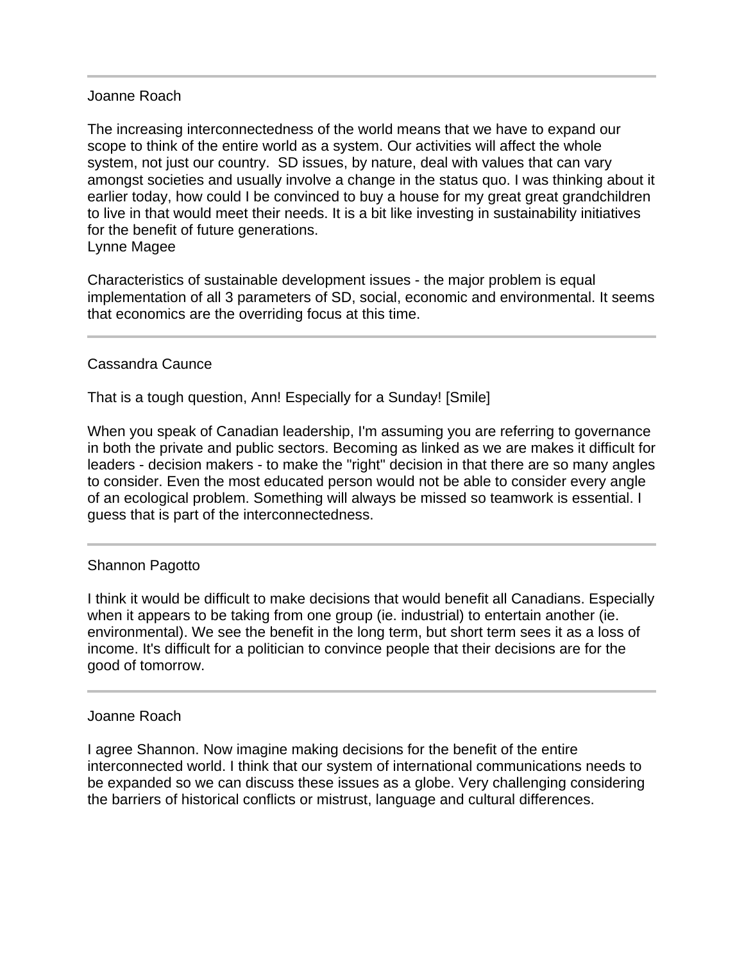### Joanne Roach

The increasing interconnectedness of the world means that we have to expand our scope to think of the entire world as a system. Our activities will affect the whole system, not just our country. SD issues, by nature, deal with values that can vary amongst societies and usually involve a change in the status quo. I was thinking about it earlier today, how could I be convinced to buy a house for my great great grandchildren to live in that would meet their needs. It is a bit like investing in sustainability initiatives for the benefit of future generations. Lynne Magee

Characteristics of sustainable development issues - the major problem is equal implementation of all 3 parameters of SD, social, economic and environmental. It seems that economics are the overriding focus at this time.

### Cassandra Caunce

l

That is a tough question, Ann! Especially for a Sunday! [Smile]

When you speak of Canadian leadership, I'm assuming you are referring to governance in both the private and public sectors. Becoming as linked as we are makes it difficult for leaders - decision makers - to make the "right" decision in that there are so many angles to consider. Even the most educated person would not be able to consider every angle of an ecological problem. Something will always be missed so teamwork is essential. I guess that is part of the interconnectedness.

### Shannon Pagotto

I think it would be difficult to make decisions that would benefit all Canadians. Especially when it appears to be taking from one group (ie. industrial) to entertain another (ie. environmental). We see the benefit in the long term, but short term sees it as a loss of income. It's difficult for a politician to convince people that their decisions are for the good of tomorrow.

#### Joanne Roach

I agree Shannon. Now imagine making decisions for the benefit of the entire interconnected world. I think that our system of international communications needs to be expanded so we can discuss these issues as a globe. Very challenging considering the barriers of historical conflicts or mistrust, language and cultural differences.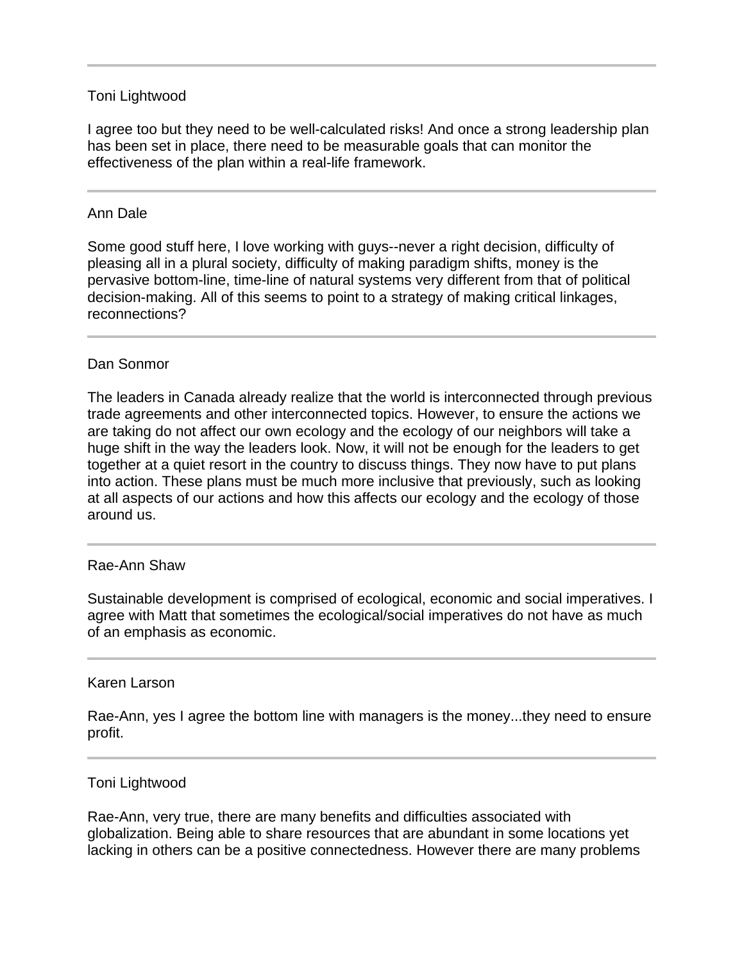## Toni Lightwood

I agree too but they need to be well-calculated risks! And once a strong leadership plan has been set in place, there need to be measurable goals that can monitor the effectiveness of the plan within a real-life framework.

# Ann Dale

Ī

Some good stuff here, I love working with guys--never a right decision, difficulty of pleasing all in a plural society, difficulty of making paradigm shifts, money is the pervasive bottom-line, time-line of natural systems very different from that of political decision-making. All of this seems to point to a strategy of making critical linkages, reconnections?

# Dan Sonmor

The leaders in Canada already realize that the world is interconnected through previous trade agreements and other interconnected topics. However, to ensure the actions we are taking do not affect our own ecology and the ecology of our neighbors will take a huge shift in the way the leaders look. Now, it will not be enough for the leaders to get together at a quiet resort in the country to discuss things. They now have to put plans into action. These plans must be much more inclusive that previously, such as looking at all aspects of our actions and how this affects our ecology and the ecology of those around us.

### Rae-Ann Shaw

I

Ī

Sustainable development is comprised of ecological, economic and social imperatives. I agree with Matt that sometimes the ecological/social imperatives do not have as much of an emphasis as economic.

### Karen Larson

Rae-Ann, yes I agree the bottom line with managers is the money...they need to ensure profit.

### Toni Lightwood

Rae-Ann, very true, there are many benefits and difficulties associated with globalization. Being able to share resources that are abundant in some locations yet lacking in others can be a positive connectedness. However there are many problems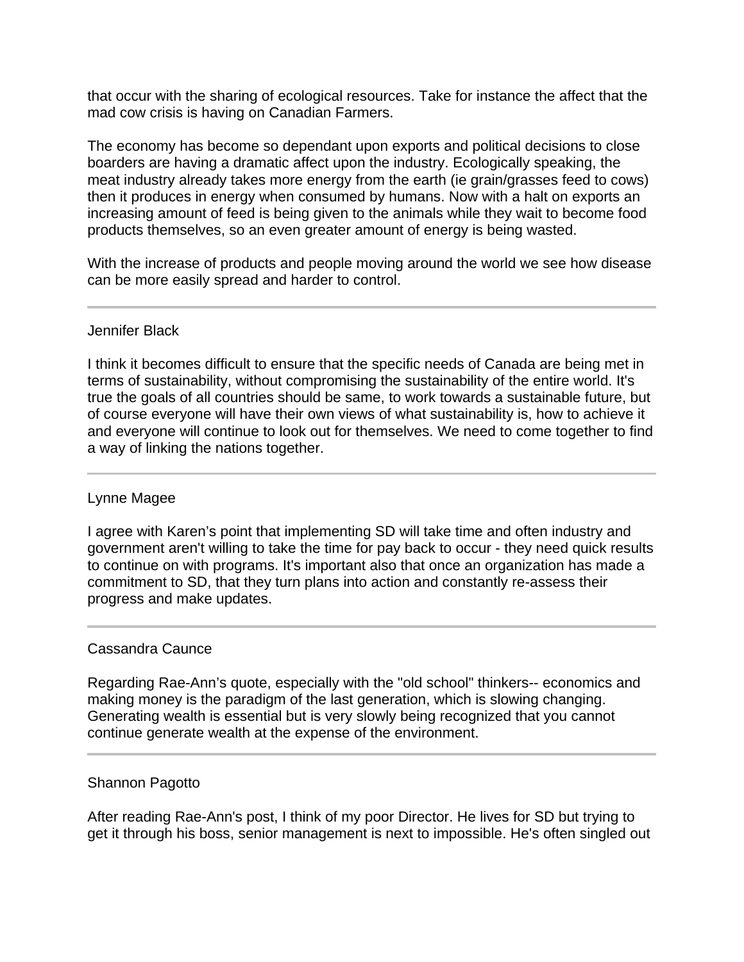that occur with the sharing of ecological resources. Take for instance the affect that the mad cow crisis is having on Canadian Farmers.

The economy has become so dependant upon exports and political decisions to close boarders are having a dramatic affect upon the industry. Ecologically speaking, the meat industry already takes more energy from the earth (ie grain/grasses feed to cows) then it produces in energy when consumed by humans. Now with a halt on exports an increasing amount of feed is being given to the animals while they wait to become food products themselves, so an even greater amount of energy is being wasted.

With the increase of products and people moving around the world we see how disease can be more easily spread and harder to control.

# Jennifer Black

I think it becomes difficult to ensure that the specific needs of Canada are being met in terms of sustainability, without compromising the sustainability of the entire world. It's true the goals of all countries should be same, to work towards a sustainable future, but of course everyone will have their own views of what sustainability is, how to achieve it and everyone will continue to look out for themselves. We need to come together to find a way of linking the nations together.

# Lynne Magee

I agree with Karen's point that implementing SD will take time and often industry and government aren't willing to take the time for pay back to occur - they need quick results to continue on with programs. It's important also that once an organization has made a commitment to SD, that they turn plans into action and constantly re-assess their progress and make updates.

### Cassandra Caunce

Regarding Rae-Ann's quote, especially with the "old school" thinkers-- economics and making money is the paradigm of the last generation, which is slowing changing. Generating wealth is essential but is very slowly being recognized that you cannot continue generate wealth at the expense of the environment.

### Shannon Pagotto

After reading Rae-Ann's post, I think of my poor Director. He lives for SD but trying to get it through his boss, senior management is next to impossible. He's often singled out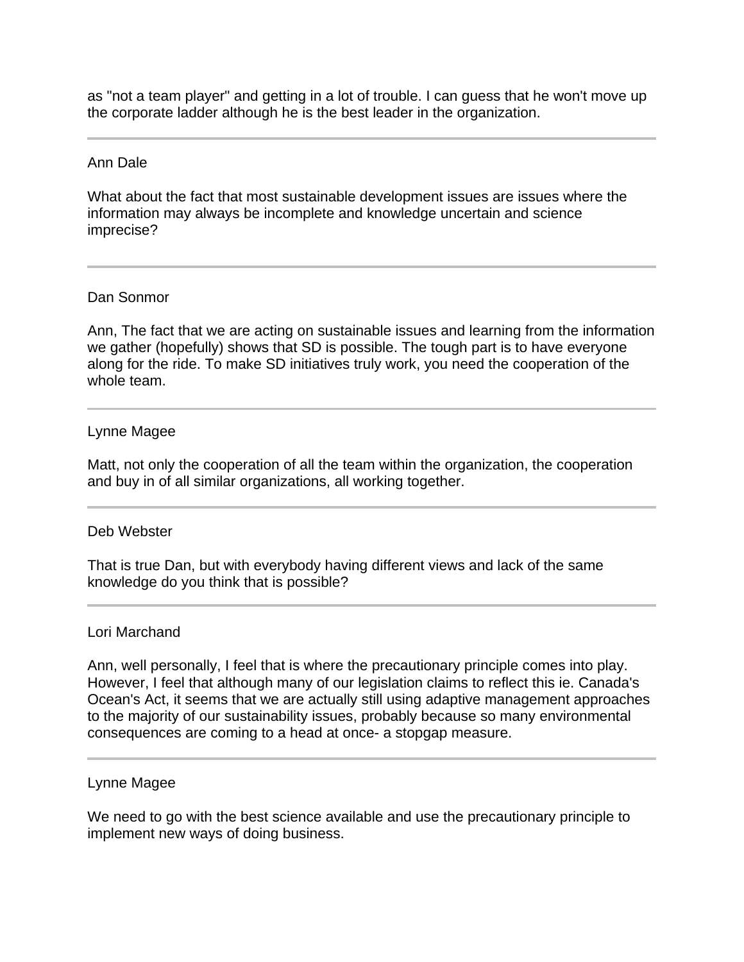as "not a team player" and getting in a lot of trouble. I can guess that he won't move up the corporate ladder although he is the best leader in the organization.

#### Ann Dale

What about the fact that most sustainable development issues are issues where the information may always be incomplete and knowledge uncertain and science imprecise?

#### Dan Sonmor

Ann, The fact that we are acting on sustainable issues and learning from the information we gather (hopefully) shows that SD is possible. The tough part is to have everyone along for the ride. To make SD initiatives truly work, you need the cooperation of the whole team.

#### Lynne Magee

Matt, not only the cooperation of all the team within the organization, the cooperation and buy in of all similar organizations, all working together.

### Deb Webster

That is true Dan, but with everybody having different views and lack of the same knowledge do you think that is possible?

#### Lori Marchand

l

Ann, well personally, I feel that is where the precautionary principle comes into play. However, I feel that although many of our legislation claims to reflect this ie. Canada's Ocean's Act, it seems that we are actually still using adaptive management approaches to the majority of our sustainability issues, probably because so many environmental consequences are coming to a head at once- a stopgap measure.

#### Lynne Magee

We need to go with the best science available and use the precautionary principle to implement new ways of doing business.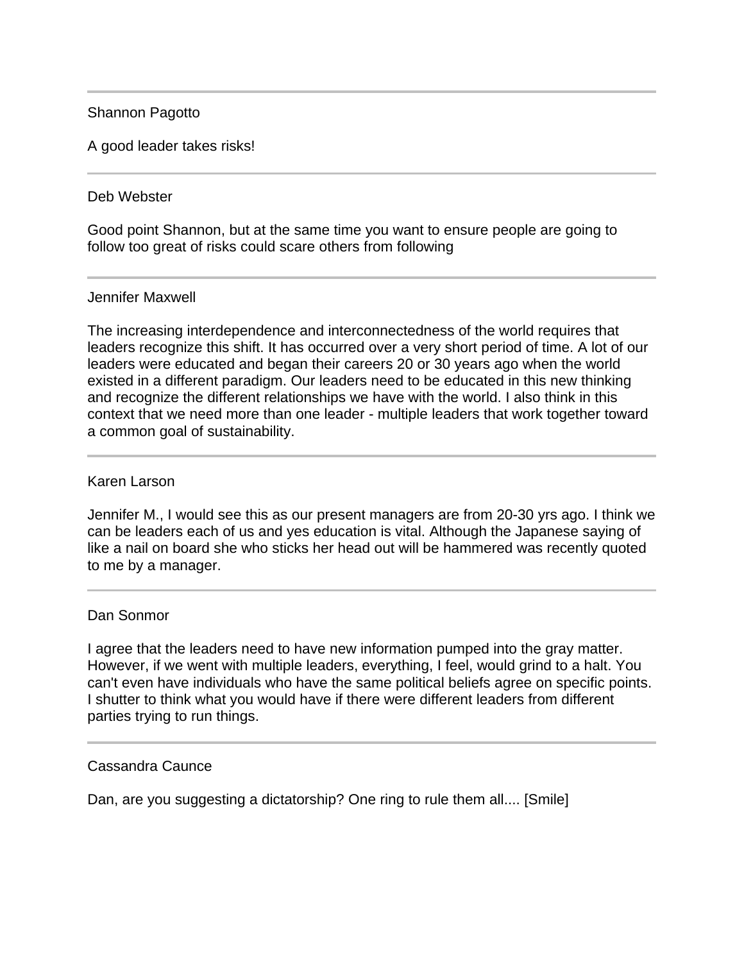# Shannon Pagotto

A good leader takes risks!

### Deb Webster

Good point Shannon, but at the same time you want to ensure people are going to follow too great of risks could scare others from following

### Jennifer Maxwell

The increasing interdependence and interconnectedness of the world requires that leaders recognize this shift. It has occurred over a very short period of time. A lot of our leaders were educated and began their careers 20 or 30 years ago when the world existed in a different paradigm. Our leaders need to be educated in this new thinking and recognize the different relationships we have with the world. I also think in this context that we need more than one leader - multiple leaders that work together toward a common goal of sustainability.

#### Karen Larson

Jennifer M., I would see this as our present managers are from 20-30 yrs ago. I think we can be leaders each of us and yes education is vital. Although the Japanese saying of like a nail on board she who sticks her head out will be hammered was recently quoted to me by a manager.

### Dan Sonmor

I agree that the leaders need to have new information pumped into the gray matter. However, if we went with multiple leaders, everything, I feel, would grind to a halt. You can't even have individuals who have the same political beliefs agree on specific points. I shutter to think what you would have if there were different leaders from different parties trying to run things.

#### Cassandra Caunce

Ī

Dan, are you suggesting a dictatorship? One ring to rule them all.... [Smile]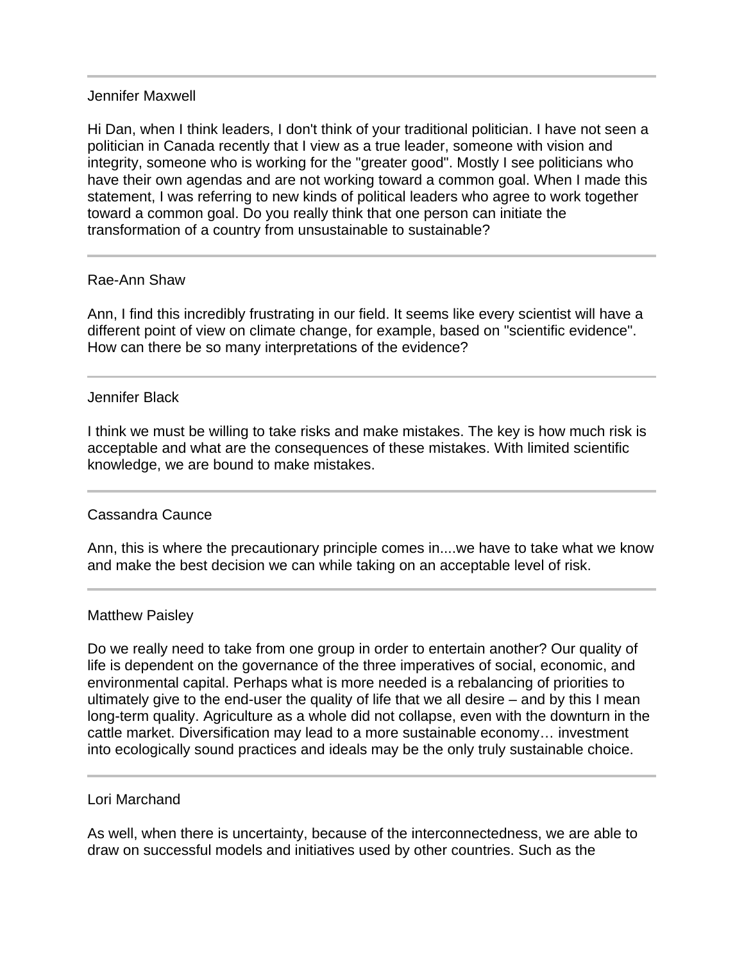### Jennifer Maxwell

Hi Dan, when I think leaders, I don't think of your traditional politician. I have not seen a politician in Canada recently that I view as a true leader, someone with vision and integrity, someone who is working for the "greater good". Mostly I see politicians who have their own agendas and are not working toward a common goal. When I made this statement, I was referring to new kinds of political leaders who agree to work together toward a common goal. Do you really think that one person can initiate the transformation of a country from unsustainable to sustainable?

### Rae-Ann Shaw

Ann, I find this incredibly frustrating in our field. It seems like every scientist will have a different point of view on climate change, for example, based on "scientific evidence". How can there be so many interpretations of the evidence?

#### Jennifer Black

I think we must be willing to take risks and make mistakes. The key is how much risk is acceptable and what are the consequences of these mistakes. With limited scientific knowledge, we are bound to make mistakes.

### Cassandra Caunce

Ī

 $\overline{a}$ 

Ī

Ann, this is where the precautionary principle comes in....we have to take what we know and make the best decision we can while taking on an acceptable level of risk.

### Matthew Paisley

Do we really need to take from one group in order to entertain another? Our quality of life is dependent on the governance of the three imperatives of social, economic, and environmental capital. Perhaps what is more needed is a rebalancing of priorities to ultimately give to the end-user the quality of life that we all desire – and by this I mean long-term quality. Agriculture as a whole did not collapse, even with the downturn in the cattle market. Diversification may lead to a more sustainable economy… investment into ecologically sound practices and ideals may be the only truly sustainable choice.

#### Lori Marchand

As well, when there is uncertainty, because of the interconnectedness, we are able to draw on successful models and initiatives used by other countries. Such as the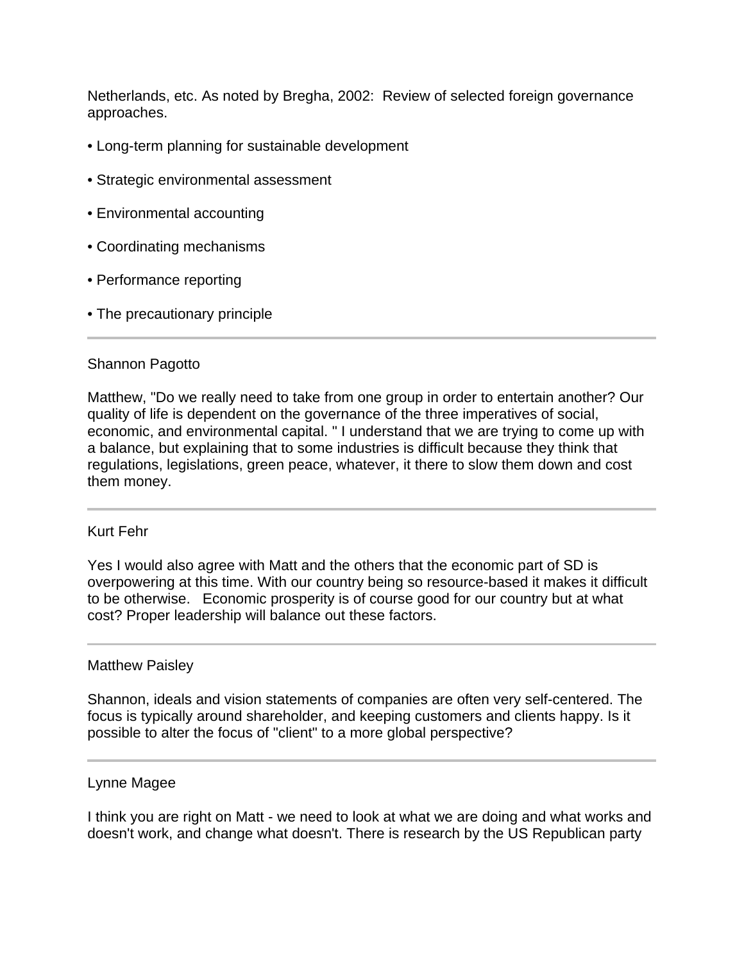Netherlands, etc. As noted by Bregha, 2002: Review of selected foreign governance approaches.

- Long-term planning for sustainable development
- Strategic environmental assessment
- Environmental accounting
- Coordinating mechanisms
- Performance reporting
- The precautionary principle

# Shannon Pagotto

Matthew, "Do we really need to take from one group in order to entertain another? Our quality of life is dependent on the governance of the three imperatives of social, economic, and environmental capital. " I understand that we are trying to come up with a balance, but explaining that to some industries is difficult because they think that regulations, legislations, green peace, whatever, it there to slow them down and cost them money.

### Kurt Fehr

Yes I would also agree with Matt and the others that the economic part of SD is overpowering at this time. With our country being so resource-based it makes it difficult to be otherwise. Economic prosperity is of course good for our country but at what cost? Proper leadership will balance out these factors.

### Matthew Paisley

Shannon, ideals and vision statements of companies are often very self-centered. The focus is typically around shareholder, and keeping customers and clients happy. Is it possible to alter the focus of "client" to a more global perspective?

### Lynne Magee

I think you are right on Matt - we need to look at what we are doing and what works and doesn't work, and change what doesn't. There is research by the US Republican party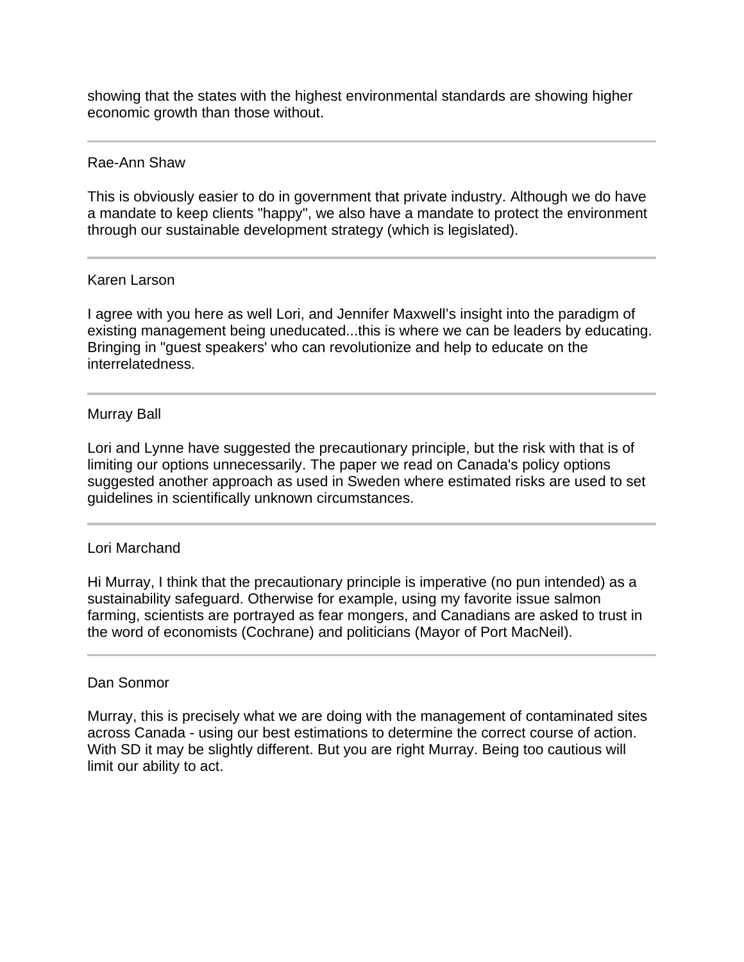showing that the states with the highest environmental standards are showing higher economic growth than those without.

#### Rae-Ann Shaw

This is obviously easier to do in government that private industry. Although we do have a mandate to keep clients "happy", we also have a mandate to protect the environment through our sustainable development strategy (which is legislated).

#### Karen Larson

I agree with you here as well Lori, and Jennifer Maxwell's insight into the paradigm of existing management being uneducated...this is where we can be leaders by educating. Bringing in "guest speakers' who can revolutionize and help to educate on the interrelatedness.

### Murray Ball

Lori and Lynne have suggested the precautionary principle, but the risk with that is of limiting our options unnecessarily. The paper we read on Canada's policy options suggested another approach as used in Sweden where estimated risks are used to set guidelines in scientifically unknown circumstances.

### Lori Marchand

Hi Murray, I think that the precautionary principle is imperative (no pun intended) as a sustainability safeguard. Otherwise for example, using my favorite issue salmon farming, scientists are portrayed as fear mongers, and Canadians are asked to trust in the word of economists (Cochrane) and politicians (Mayor of Port MacNeil).

### Dan Sonmor

l

Murray, this is precisely what we are doing with the management of contaminated sites across Canada - using our best estimations to determine the correct course of action. With SD it may be slightly different. But you are right Murray. Being too cautious will limit our ability to act.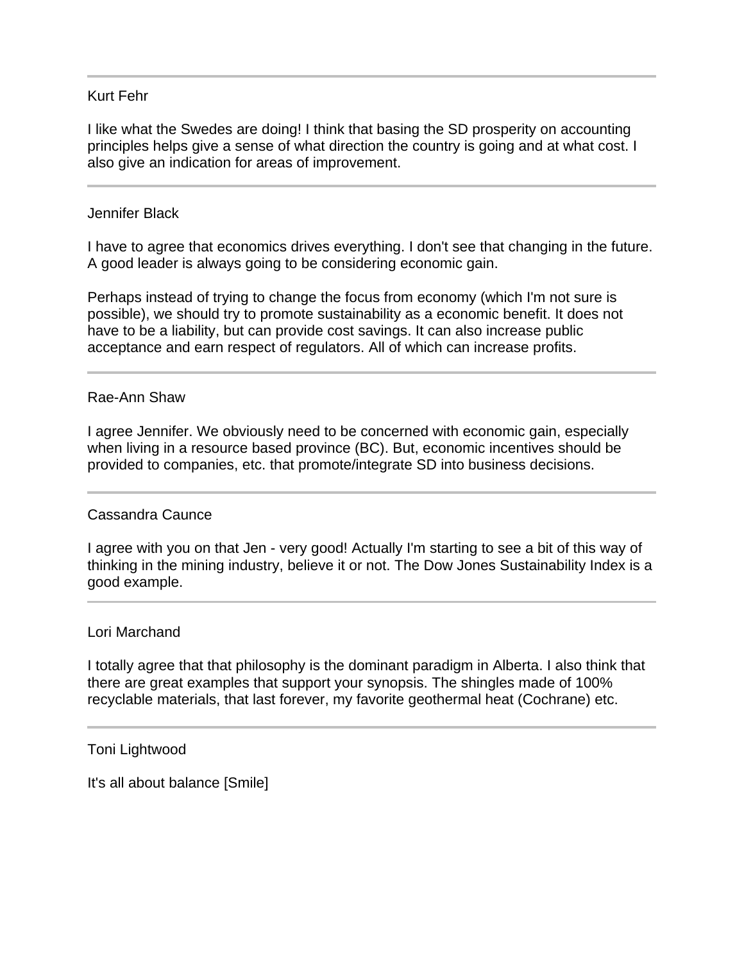### Kurt Fehr

I like what the Swedes are doing! I think that basing the SD prosperity on accounting principles helps give a sense of what direction the country is going and at what cost. I also give an indication for areas of improvement.

#### Jennifer Black

I have to agree that economics drives everything. I don't see that changing in the future. A good leader is always going to be considering economic gain.

Perhaps instead of trying to change the focus from economy (which I'm not sure is possible), we should try to promote sustainability as a economic benefit. It does not have to be a liability, but can provide cost savings. It can also increase public acceptance and earn respect of regulators. All of which can increase profits.

#### Rae-Ann Shaw

I agree Jennifer. We obviously need to be concerned with economic gain, especially when living in a resource based province (BC). But, economic incentives should be provided to companies, etc. that promote/integrate SD into business decisions.

### Cassandra Caunce

I agree with you on that Jen - very good! Actually I'm starting to see a bit of this way of thinking in the mining industry, believe it or not. The Dow Jones Sustainability Index is a good example.

#### Lori Marchand

I totally agree that that philosophy is the dominant paradigm in Alberta. I also think that there are great examples that support your synopsis. The shingles made of 100% recyclable materials, that last forever, my favorite geothermal heat (Cochrane) etc.

#### Toni Lightwood

It's all about balance [Smile]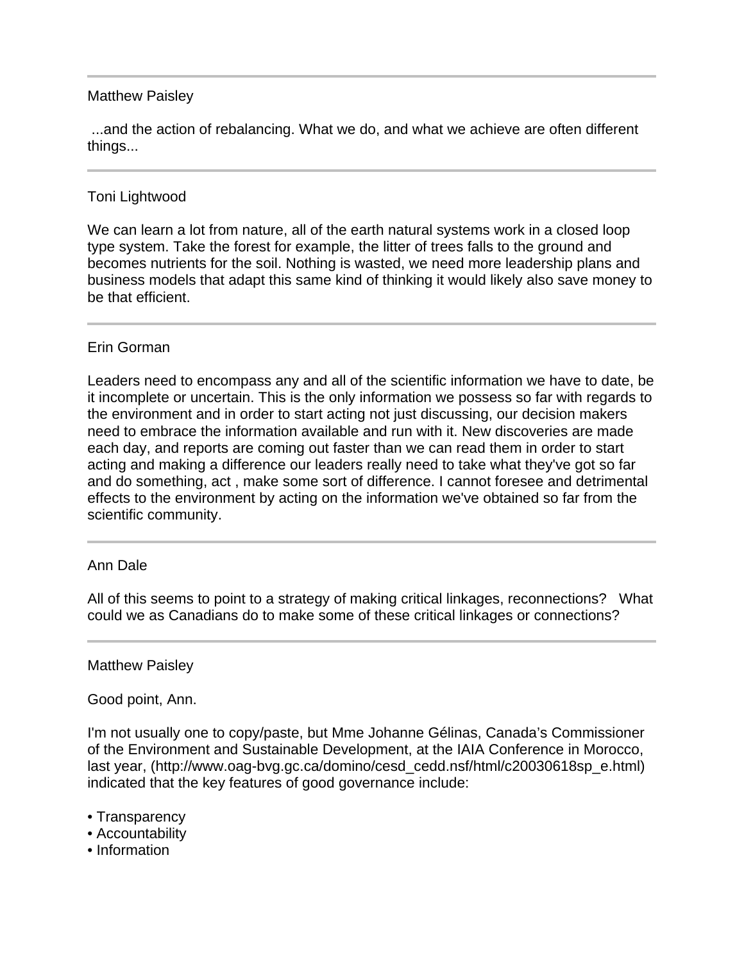# Matthew Paisley

 ...and the action of rebalancing. What we do, and what we achieve are often different things...

# Toni Lightwood

We can learn a lot from nature, all of the earth natural systems work in a closed loop type system. Take the forest for example, the litter of trees falls to the ground and becomes nutrients for the soil. Nothing is wasted, we need more leadership plans and business models that adapt this same kind of thinking it would likely also save money to be that efficient.

# Erin Gorman

Leaders need to encompass any and all of the scientific information we have to date, be it incomplete or uncertain. This is the only information we possess so far with regards to the environment and in order to start acting not just discussing, our decision makers need to embrace the information available and run with it. New discoveries are made each day, and reports are coming out faster than we can read them in order to start acting and making a difference our leaders really need to take what they've got so far and do something, act , make some sort of difference. I cannot foresee and detrimental effects to the environment by acting on the information we've obtained so far from the scientific community.

### Ann Dale

All of this seems to point to a strategy of making critical linkages, reconnections? What could we as Canadians do to make some of these critical linkages or connections?

### Matthew Paisley

Good point, Ann.

I'm not usually one to copy/paste, but Mme Johanne Gélinas, Canada's Commissioner of the Environment and Sustainable Development, at the IAIA Conference in Morocco, last year, (http://www.oag-bvg.gc.ca/domino/cesd\_cedd.nsf/html/c20030618sp\_e.html) indicated that the key features of good governance include:

- Transparency
- Accountability
- Information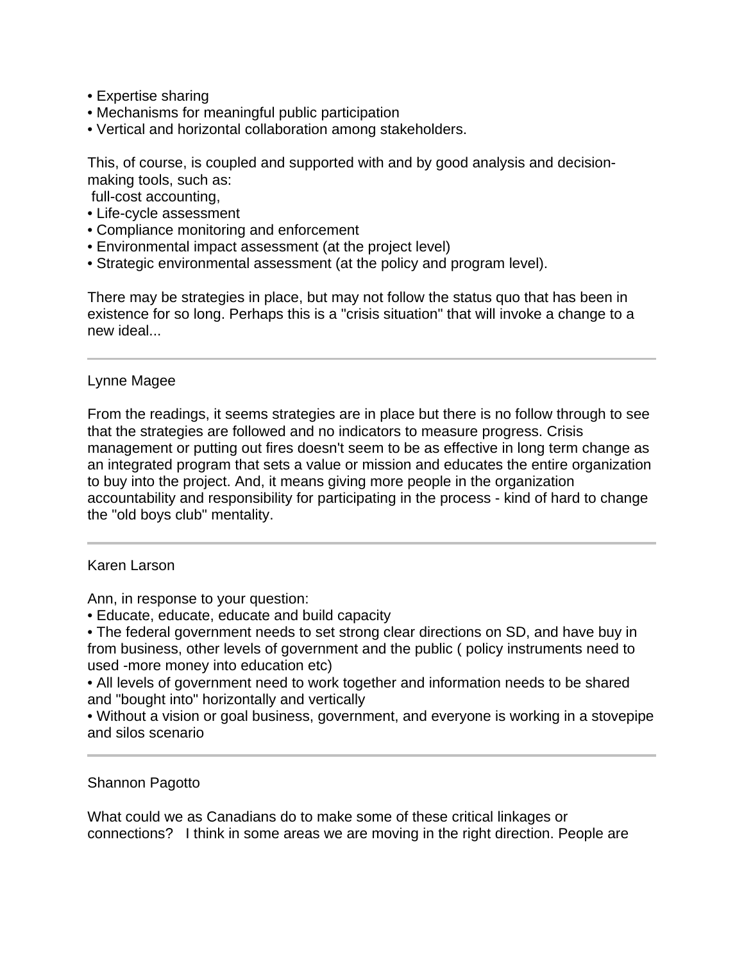- Expertise sharing
- Mechanisms for meaningful public participation
- Vertical and horizontal collaboration among stakeholders.

This, of course, is coupled and supported with and by good analysis and decisionmaking tools, such as:

- full-cost accounting,
- Life-cycle assessment
- Compliance monitoring and enforcement
- Environmental impact assessment (at the project level)
- Strategic environmental assessment (at the policy and program level).

There may be strategies in place, but may not follow the status quo that has been in existence for so long. Perhaps this is a "crisis situation" that will invoke a change to a new ideal...

### Lynne Magee

From the readings, it seems strategies are in place but there is no follow through to see that the strategies are followed and no indicators to measure progress. Crisis management or putting out fires doesn't seem to be as effective in long term change as an integrated program that sets a value or mission and educates the entire organization to buy into the project. And, it means giving more people in the organization accountability and responsibility for participating in the process - kind of hard to change the "old boys club" mentality.

#### Karen Larson

Ann, in response to your question:

• Educate, educate, educate and build capacity

• The federal government needs to set strong clear directions on SD, and have buy in from business, other levels of government and the public ( policy instruments need to used -more money into education etc)

• All levels of government need to work together and information needs to be shared and "bought into" horizontally and vertically

• Without a vision or goal business, government, and everyone is working in a stovepipe and silos scenario

### Shannon Pagotto

What could we as Canadians do to make some of these critical linkages or connections? I think in some areas we are moving in the right direction. People are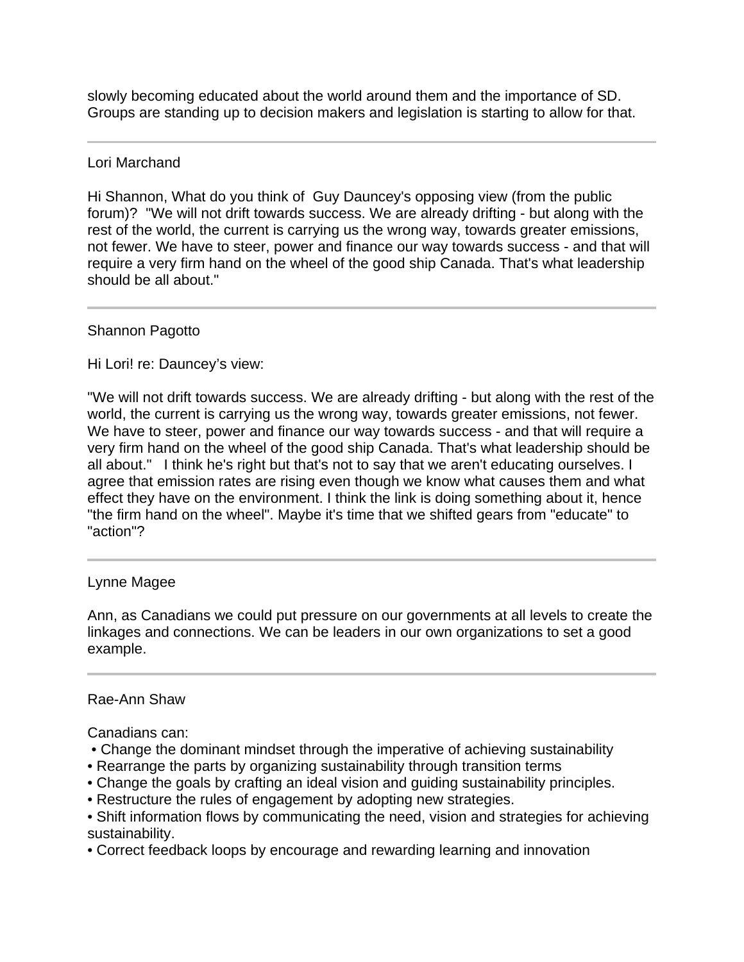slowly becoming educated about the world around them and the importance of SD. Groups are standing up to decision makers and legislation is starting to allow for that.

# Lori Marchand

Hi Shannon, What do you think of Guy Dauncey's opposing view (from the public forum)? "We will not drift towards success. We are already drifting - but along with the rest of the world, the current is carrying us the wrong way, towards greater emissions, not fewer. We have to steer, power and finance our way towards success - and that will require a very firm hand on the wheel of the good ship Canada. That's what leadership should be all about."

# Shannon Pagotto

Hi Lori! re: Dauncey's view:

"We will not drift towards success. We are already drifting - but along with the rest of the world, the current is carrying us the wrong way, towards greater emissions, not fewer. We have to steer, power and finance our way towards success - and that will require a very firm hand on the wheel of the good ship Canada. That's what leadership should be all about." I think he's right but that's not to say that we aren't educating ourselves. I agree that emission rates are rising even though we know what causes them and what effect they have on the environment. I think the link is doing something about it, hence "the firm hand on the wheel". Maybe it's time that we shifted gears from "educate" to "action"?

### Lynne Magee

Ann, as Canadians we could put pressure on our governments at all levels to create the linkages and connections. We can be leaders in our own organizations to set a good example.

### Rae-Ann Shaw

Canadians can:

- Change the dominant mindset through the imperative of achieving sustainability
- Rearrange the parts by organizing sustainability through transition terms
- Change the goals by crafting an ideal vision and guiding sustainability principles.
- Restructure the rules of engagement by adopting new strategies.
- Shift information flows by communicating the need, vision and strategies for achieving sustainability.
- Correct feedback loops by encourage and rewarding learning and innovation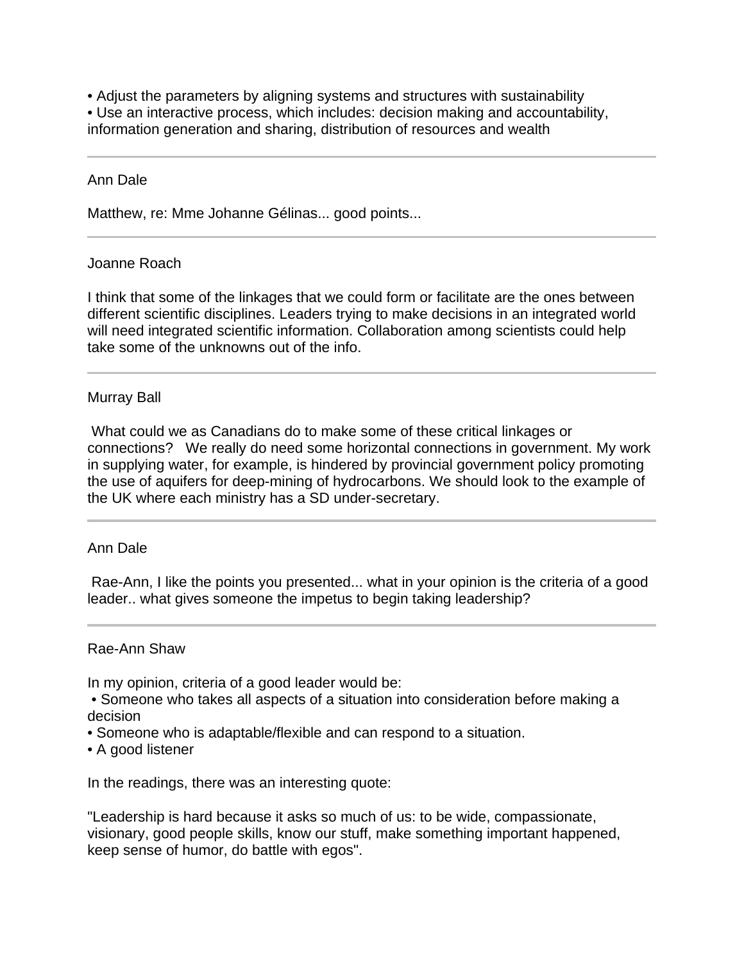• Adjust the parameters by aligning systems and structures with sustainability

• Use an interactive process, which includes: decision making and accountability,

information generation and sharing, distribution of resources and wealth

# Ann Dale

Ī

l

Matthew, re: Mme Johanne Gélinas... good points...

# Joanne Roach

I think that some of the linkages that we could form or facilitate are the ones between different scientific disciplines. Leaders trying to make decisions in an integrated world will need integrated scientific information. Collaboration among scientists could help take some of the unknowns out of the info.

# Murray Ball

 What could we as Canadians do to make some of these critical linkages or connections? We really do need some horizontal connections in government. My work in supplying water, for example, is hindered by provincial government policy promoting the use of aquifers for deep-mining of hydrocarbons. We should look to the example of the UK where each ministry has a SD under-secretary.

### Ann Dale

 Rae-Ann, I like the points you presented... what in your opinion is the criteria of a good leader.. what gives someone the impetus to begin taking leadership?

### Rae-Ann Shaw

In my opinion, criteria of a good leader would be:

 • Someone who takes all aspects of a situation into consideration before making a decision

- Someone who is adaptable/flexible and can respond to a situation.
- A good listener

In the readings, there was an interesting quote:

"Leadership is hard because it asks so much of us: to be wide, compassionate, visionary, good people skills, know our stuff, make something important happened, keep sense of humor, do battle with egos".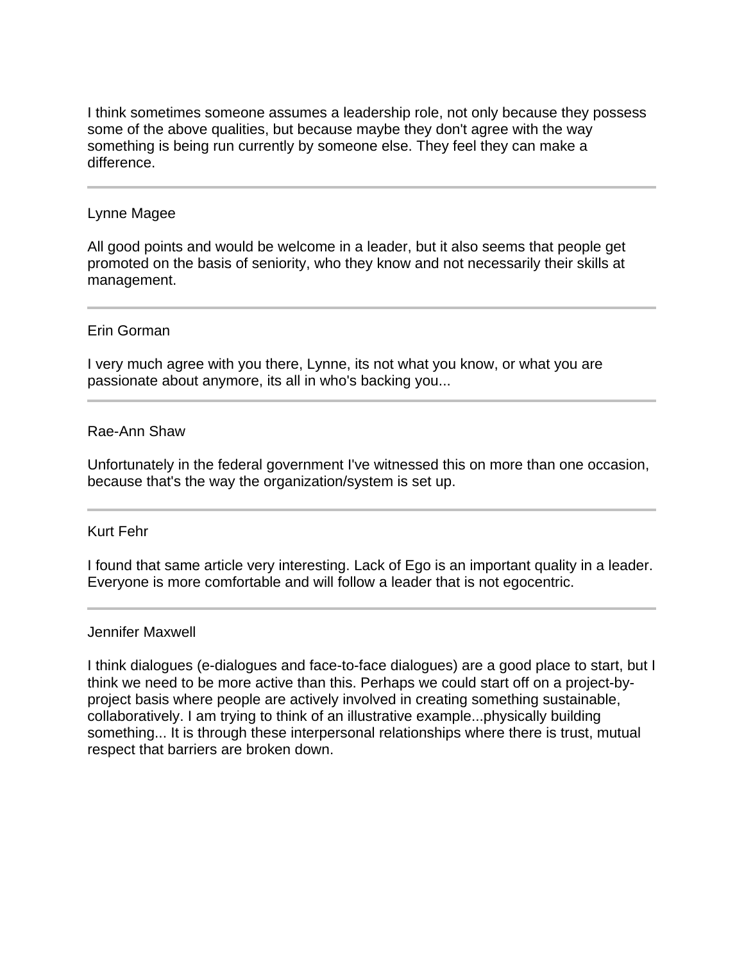I think sometimes someone assumes a leadership role, not only because they possess some of the above qualities, but because maybe they don't agree with the way something is being run currently by someone else. They feel they can make a difference.

### Lynne Magee

 $\overline{a}$ 

All good points and would be welcome in a leader, but it also seems that people get promoted on the basis of seniority, who they know and not necessarily their skills at management.

# Erin Gorman

I very much agree with you there, Lynne, its not what you know, or what you are passionate about anymore, its all in who's backing you...

# Rae-Ann Shaw

Unfortunately in the federal government I've witnessed this on more than one occasion, because that's the way the organization/system is set up.

### Kurt Fehr

I found that same article very interesting. Lack of Ego is an important quality in a leader. Everyone is more comfortable and will follow a leader that is not egocentric.

### Jennifer Maxwell

I think dialogues (e-dialogues and face-to-face dialogues) are a good place to start, but I think we need to be more active than this. Perhaps we could start off on a project-byproject basis where people are actively involved in creating something sustainable, collaboratively. I am trying to think of an illustrative example...physically building something... It is through these interpersonal relationships where there is trust, mutual respect that barriers are broken down.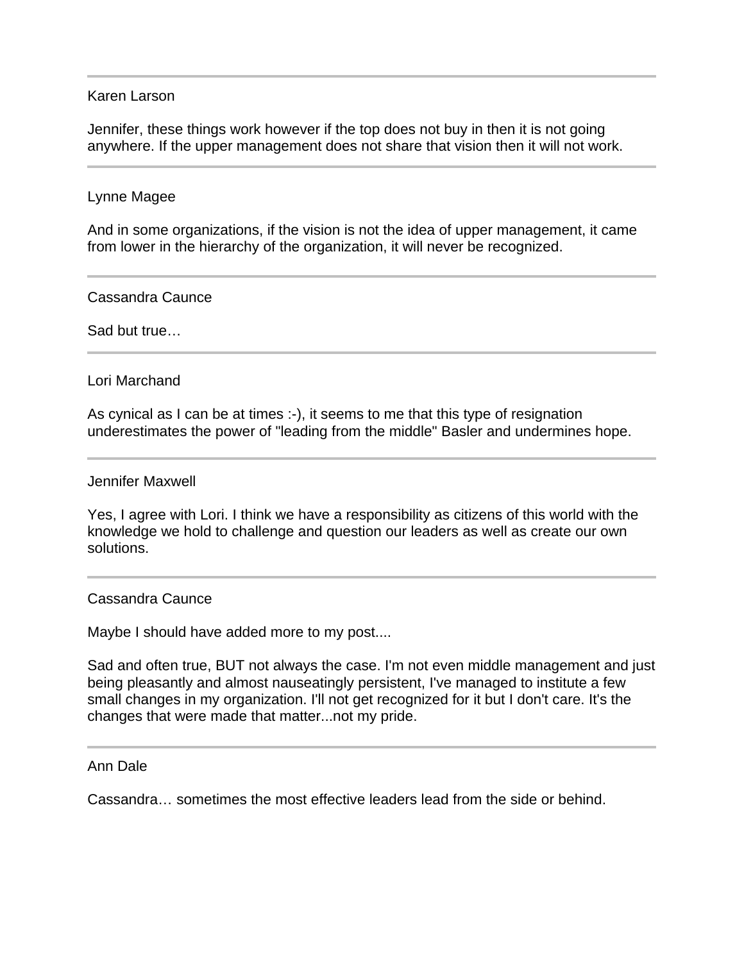#### Karen Larson

Jennifer, these things work however if the top does not buy in then it is not going anywhere. If the upper management does not share that vision then it will not work.

#### Lynne Magee

And in some organizations, if the vision is not the idea of upper management, it came from lower in the hierarchy of the organization, it will never be recognized.

Cassandra Caunce

Sad but true…

l

### Lori Marchand

As cynical as I can be at times :-), it seems to me that this type of resignation underestimates the power of "leading from the middle" Basler and undermines hope.

#### Jennifer Maxwell

Yes, I agree with Lori. I think we have a responsibility as citizens of this world with the knowledge we hold to challenge and question our leaders as well as create our own solutions.

#### Cassandra Caunce

Maybe I should have added more to my post....

Sad and often true, BUT not always the case. I'm not even middle management and just being pleasantly and almost nauseatingly persistent, I've managed to institute a few small changes in my organization. I'll not get recognized for it but I don't care. It's the changes that were made that matter...not my pride.

#### Ann Dale

Cassandra… sometimes the most effective leaders lead from the side or behind.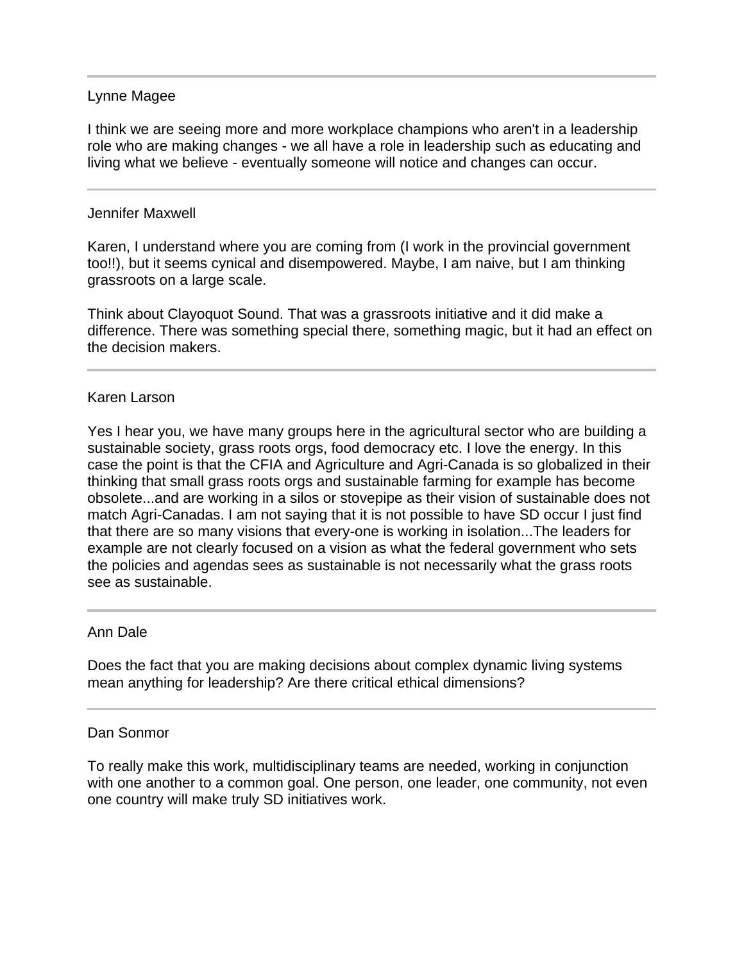## Lynne Magee

I think we are seeing more and more workplace champions who aren't in a leadership role who are making changes - we all have a role in leadership such as educating and living what we believe - eventually someone will notice and changes can occur.

## Jennifer Maxwell

Karen, I understand where you are coming from (I work in the provincial government too!!), but it seems cynical and disempowered. Maybe, I am naive, but I am thinking grassroots on a large scale.

Think about Clayoquot Sound. That was a grassroots initiative and it did make a difference. There was something special there, something magic, but it had an effect on the decision makers.

### Karen Larson

Yes I hear you, we have many groups here in the agricultural sector who are building a sustainable society, grass roots orgs, food democracy etc. I love the energy. In this case the point is that the CFIA and Agriculture and Agri-Canada is so globalized in their thinking that small grass roots orgs and sustainable farming for example has become obsolete...and are working in a silos or stovepipe as their vision of sustainable does not match Agri-Canadas. I am not saying that it is not possible to have SD occur I just find that there are so many visions that every-one is working in isolation...The leaders for example are not clearly focused on a vision as what the federal government who sets the policies and agendas sees as sustainable is not necessarily what the grass roots see as sustainable.

### Ann Dale

Does the fact that you are making decisions about complex dynamic living systems mean anything for leadership? Are there critical ethical dimensions?

### Dan Sonmor

To really make this work, multidisciplinary teams are needed, working in conjunction with one another to a common goal. One person, one leader, one community, not even one country will make truly SD initiatives work.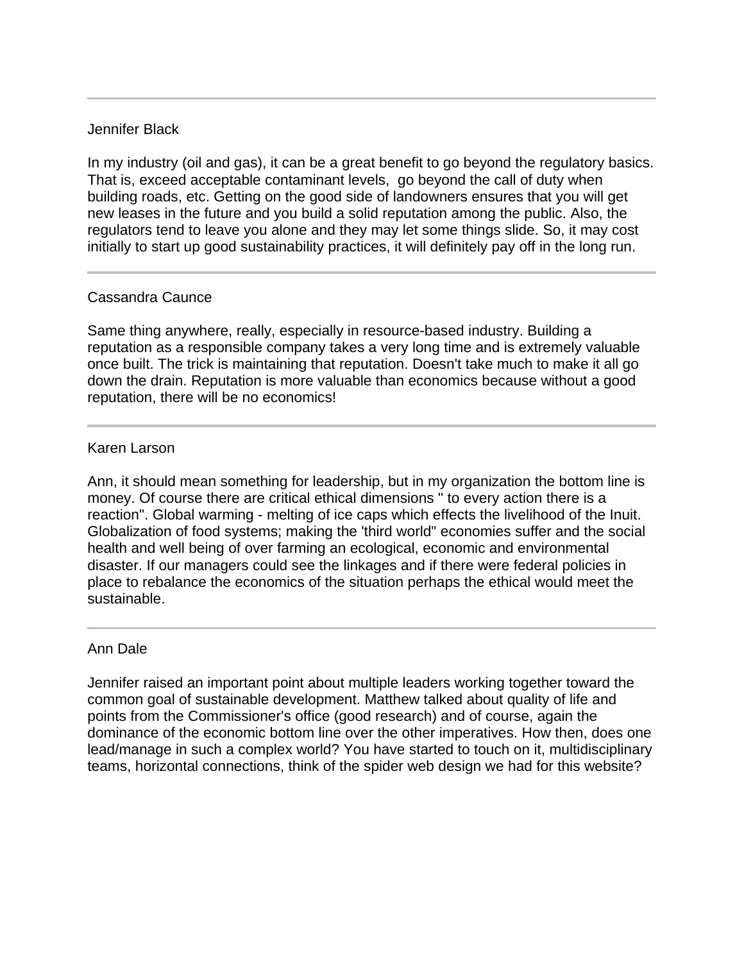# Jennifer Black

In my industry (oil and gas), it can be a great benefit to go beyond the regulatory basics. That is, exceed acceptable contaminant levels, go beyond the call of duty when building roads, etc. Getting on the good side of landowners ensures that you will get new leases in the future and you build a solid reputation among the public. Also, the regulators tend to leave you alone and they may let some things slide. So, it may cost initially to start up good sustainability practices, it will definitely pay off in the long run.

# Cassandra Caunce

Same thing anywhere, really, especially in resource-based industry. Building a reputation as a responsible company takes a very long time and is extremely valuable once built. The trick is maintaining that reputation. Doesn't take much to make it all go down the drain. Reputation is more valuable than economics because without a good reputation, there will be no economics!

# Karen Larson

Ann, it should mean something for leadership, but in my organization the bottom line is money. Of course there are critical ethical dimensions " to every action there is a reaction". Global warming - melting of ice caps which effects the livelihood of the Inuit. Globalization of food systems; making the 'third world" economies suffer and the social health and well being of over farming an ecological, economic and environmental disaster. If our managers could see the linkages and if there were federal policies in place to rebalance the economics of the situation perhaps the ethical would meet the sustainable.

### Ann Dale

Jennifer raised an important point about multiple leaders working together toward the common goal of sustainable development. Matthew talked about quality of life and points from the Commissioner's office (good research) and of course, again the dominance of the economic bottom line over the other imperatives. How then, does one lead/manage in such a complex world? You have started to touch on it, multidisciplinary teams, horizontal connections, think of the spider web design we had for this website?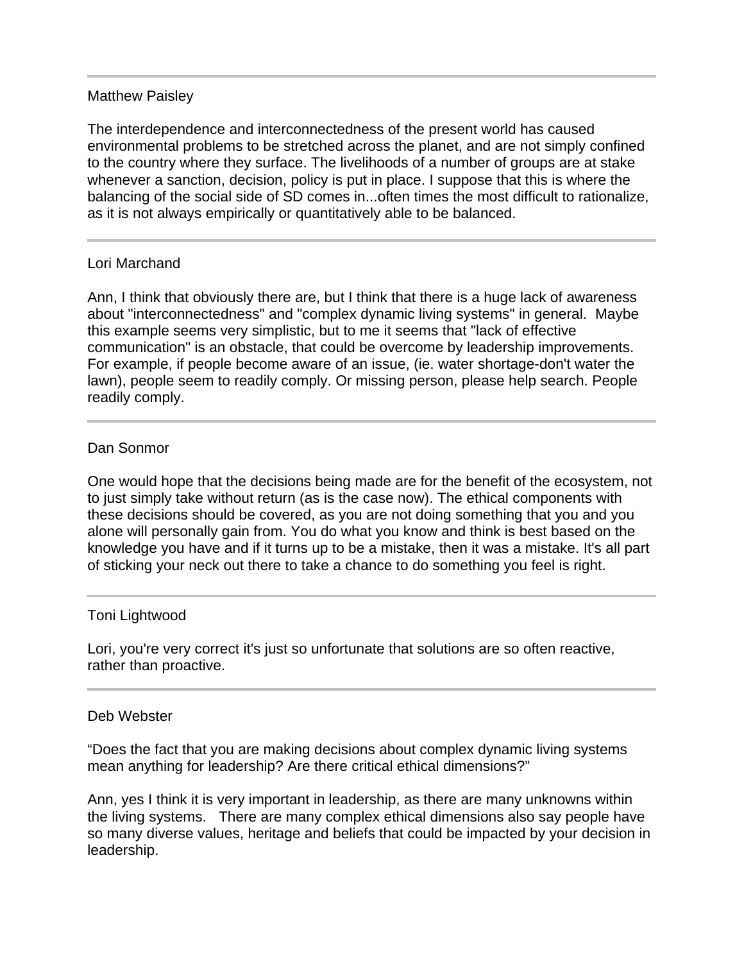# Matthew Paisley

The interdependence and interconnectedness of the present world has caused environmental problems to be stretched across the planet, and are not simply confined to the country where they surface. The livelihoods of a number of groups are at stake whenever a sanction, decision, policy is put in place. I suppose that this is where the balancing of the social side of SD comes in...often times the most difficult to rationalize, as it is not always empirically or quantitatively able to be balanced.

# Lori Marchand

Ann, I think that obviously there are, but I think that there is a huge lack of awareness about "interconnectedness" and "complex dynamic living systems" in general. Maybe this example seems very simplistic, but to me it seems that "lack of effective communication" is an obstacle, that could be overcome by leadership improvements. For example, if people become aware of an issue, (ie. water shortage-don't water the lawn), people seem to readily comply. Or missing person, please help search. People readily comply.

# Dan Sonmor

l

j

One would hope that the decisions being made are for the benefit of the ecosystem, not to just simply take without return (as is the case now). The ethical components with these decisions should be covered, as you are not doing something that you and you alone will personally gain from. You do what you know and think is best based on the knowledge you have and if it turns up to be a mistake, then it was a mistake. It's all part of sticking your neck out there to take a chance to do something you feel is right.

### Toni Lightwood

Lori, you're very correct it's just so unfortunate that solutions are so often reactive, rather than proactive.

### Deb Webster

"Does the fact that you are making decisions about complex dynamic living systems mean anything for leadership? Are there critical ethical dimensions?"

Ann, yes I think it is very important in leadership, as there are many unknowns within the living systems. There are many complex ethical dimensions also say people have so many diverse values, heritage and beliefs that could be impacted by your decision in leadership.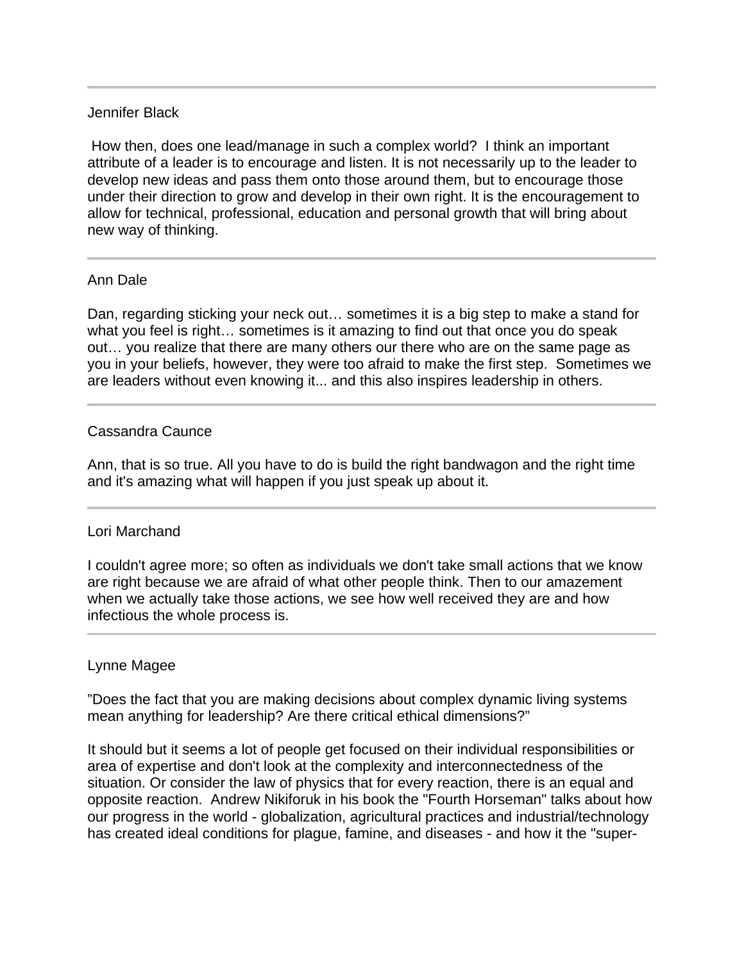# Jennifer Black

 How then, does one lead/manage in such a complex world? I think an important attribute of a leader is to encourage and listen. It is not necessarily up to the leader to develop new ideas and pass them onto those around them, but to encourage those under their direction to grow and develop in their own right. It is the encouragement to allow for technical, professional, education and personal growth that will bring about new way of thinking.

# Ann Dale

Ι

l

Dan, regarding sticking your neck out… sometimes it is a big step to make a stand for what you feel is right… sometimes is it amazing to find out that once you do speak out… you realize that there are many others our there who are on the same page as you in your beliefs, however, they were too afraid to make the first step. Sometimes we are leaders without even knowing it... and this also inspires leadership in others.

# Cassandra Caunce

Ann, that is so true. All you have to do is build the right bandwagon and the right time and it's amazing what will happen if you just speak up about it.

### Lori Marchand

I couldn't agree more; so often as individuals we don't take small actions that we know are right because we are afraid of what other people think. Then to our amazement when we actually take those actions, we see how well received they are and how infectious the whole process is.

# Lynne Magee

"Does the fact that you are making decisions about complex dynamic living systems mean anything for leadership? Are there critical ethical dimensions?"

It should but it seems a lot of people get focused on their individual responsibilities or area of expertise and don't look at the complexity and interconnectedness of the situation. Or consider the law of physics that for every reaction, there is an equal and opposite reaction. Andrew Nikiforuk in his book the "Fourth Horseman" talks about how our progress in the world - globalization, agricultural practices and industrial/technology has created ideal conditions for plague, famine, and diseases - and how it the "super-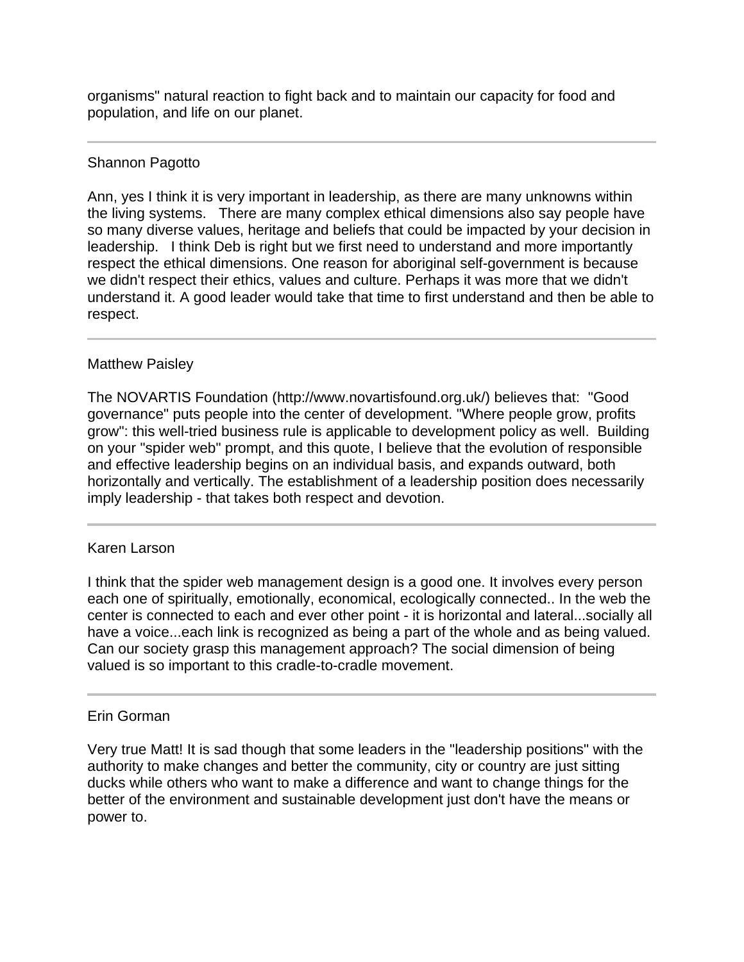organisms" natural reaction to fight back and to maintain our capacity for food and population, and life on our planet.

# Shannon Pagotto

Ann, yes I think it is very important in leadership, as there are many unknowns within the living systems. There are many complex ethical dimensions also say people have so many diverse values, heritage and beliefs that could be impacted by your decision in leadership. I think Deb is right but we first need to understand and more importantly respect the ethical dimensions. One reason for aboriginal self-government is because we didn't respect their ethics, values and culture. Perhaps it was more that we didn't understand it. A good leader would take that time to first understand and then be able to respect.

# Matthew Paisley

The NOVARTIS Foundation (http://www.novartisfound.org.uk/) believes that: "Good governance" puts people into the center of development. "Where people grow, profits grow": this well-tried business rule is applicable to development policy as well. Building on your "spider web" prompt, and this quote, I believe that the evolution of responsible and effective leadership begins on an individual basis, and expands outward, both horizontally and vertically. The establishment of a leadership position does necessarily imply leadership - that takes both respect and devotion.

# Karen Larson

Ī

I think that the spider web management design is a good one. It involves every person each one of spiritually, emotionally, economical, ecologically connected.. In the web the center is connected to each and ever other point - it is horizontal and lateral...socially all have a voice...each link is recognized as being a part of the whole and as being valued. Can our society grasp this management approach? The social dimension of being valued is so important to this cradle-to-cradle movement.

### Erin Gorman

Very true Matt! It is sad though that some leaders in the "leadership positions" with the authority to make changes and better the community, city or country are just sitting ducks while others who want to make a difference and want to change things for the better of the environment and sustainable development just don't have the means or power to.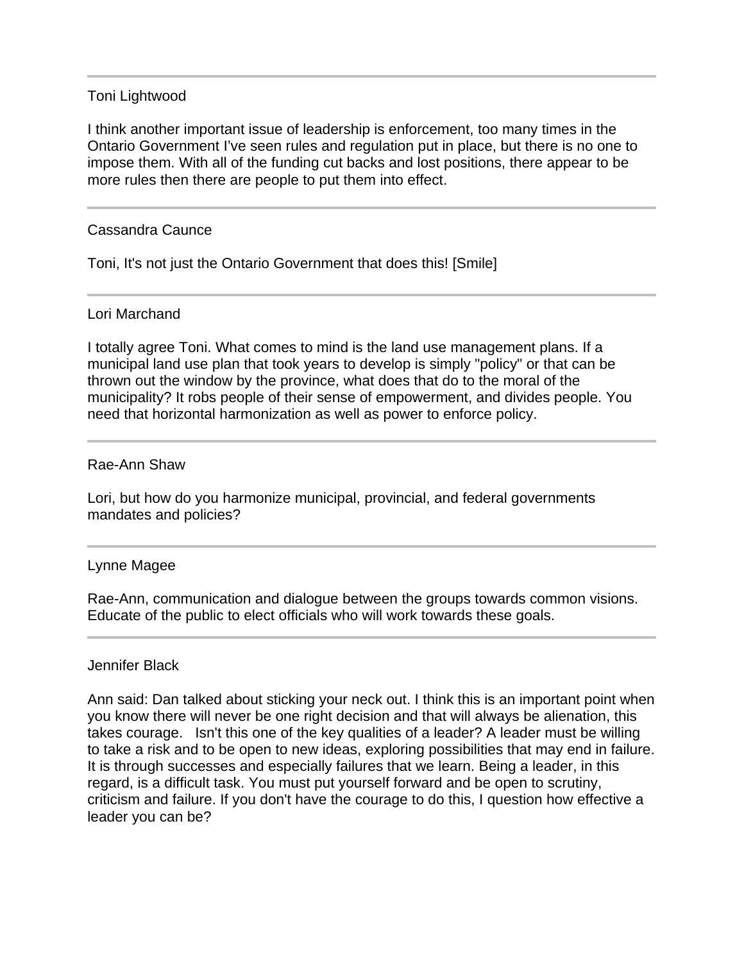## Toni Lightwood

I think another important issue of leadership is enforcement, too many times in the Ontario Government I've seen rules and regulation put in place, but there is no one to impose them. With all of the funding cut backs and lost positions, there appear to be more rules then there are people to put them into effect.

# Cassandra Caunce

Toni, It's not just the Ontario Government that does this! [Smile]

### Lori Marchand

I totally agree Toni. What comes to mind is the land use management plans. If a municipal land use plan that took years to develop is simply "policy" or that can be thrown out the window by the province, what does that do to the moral of the municipality? It robs people of their sense of empowerment, and divides people. You need that horizontal harmonization as well as power to enforce policy.

### Rae-Ann Shaw

Lori, but how do you harmonize municipal, provincial, and federal governments mandates and policies?

### Lynne Magee

Rae-Ann, communication and dialogue between the groups towards common visions. Educate of the public to elect officials who will work towards these goals.

### Jennifer Black

Ann said: Dan talked about sticking your neck out. I think this is an important point when you know there will never be one right decision and that will always be alienation, this takes courage. Isn't this one of the key qualities of a leader? A leader must be willing to take a risk and to be open to new ideas, exploring possibilities that may end in failure. It is through successes and especially failures that we learn. Being a leader, in this regard, is a difficult task. You must put yourself forward and be open to scrutiny, criticism and failure. If you don't have the courage to do this, I question how effective a leader you can be?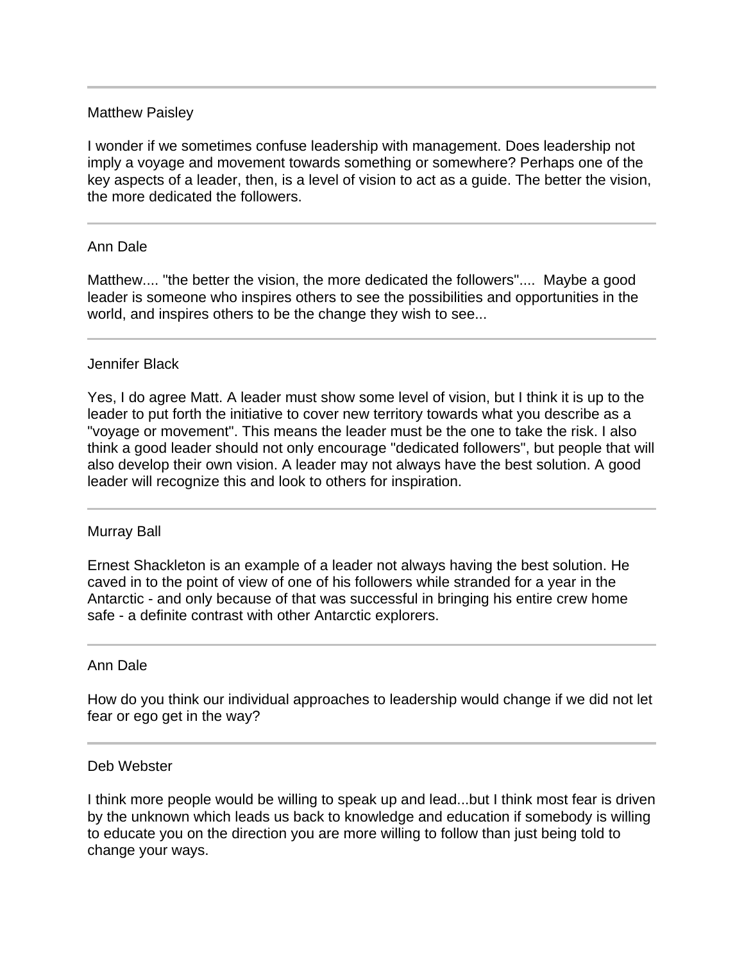## Matthew Paisley

I wonder if we sometimes confuse leadership with management. Does leadership not imply a voyage and movement towards something or somewhere? Perhaps one of the key aspects of a leader, then, is a level of vision to act as a guide. The better the vision, the more dedicated the followers.

# Ann Dale

Matthew.... "the better the vision, the more dedicated the followers".... Maybe a good leader is someone who inspires others to see the possibilities and opportunities in the world, and inspires others to be the change they wish to see...

### Jennifer Black

Yes, I do agree Matt. A leader must show some level of vision, but I think it is up to the leader to put forth the initiative to cover new territory towards what you describe as a "voyage or movement". This means the leader must be the one to take the risk. I also think a good leader should not only encourage "dedicated followers", but people that will also develop their own vision. A leader may not always have the best solution. A good leader will recognize this and look to others for inspiration.

### Murray Ball

Ernest Shackleton is an example of a leader not always having the best solution. He caved in to the point of view of one of his followers while stranded for a year in the Antarctic - and only because of that was successful in bringing his entire crew home safe - a definite contrast with other Antarctic explorers.

### Ann Dale

How do you think our individual approaches to leadership would change if we did not let fear or ego get in the way?

### Deb Webster

I think more people would be willing to speak up and lead...but I think most fear is driven by the unknown which leads us back to knowledge and education if somebody is willing to educate you on the direction you are more willing to follow than just being told to change your ways.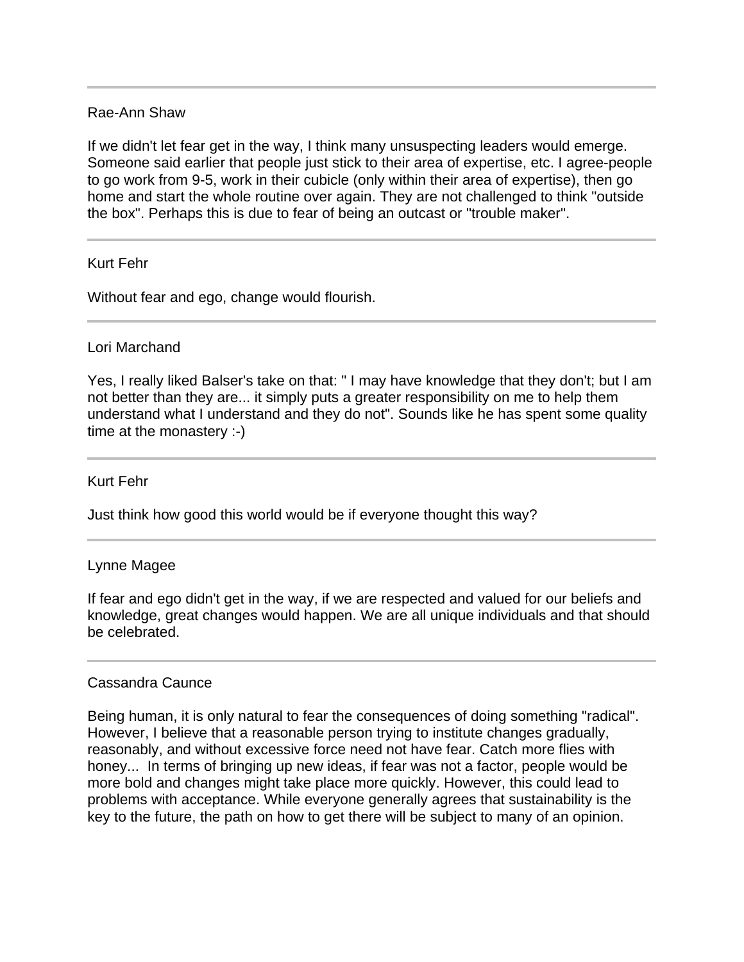# Rae-Ann Shaw

If we didn't let fear get in the way, I think many unsuspecting leaders would emerge. Someone said earlier that people just stick to their area of expertise, etc. I agree-people to go work from 9-5, work in their cubicle (only within their area of expertise), then go home and start the whole routine over again. They are not challenged to think "outside the box". Perhaps this is due to fear of being an outcast or "trouble maker".

# Kurt Fehr

Without fear and ego, change would flourish.

### Lori Marchand

Yes, I really liked Balser's take on that: " I may have knowledge that they don't; but I am not better than they are... it simply puts a greater responsibility on me to help them understand what I understand and they do not". Sounds like he has spent some quality time at the monastery :-)

### Kurt Fehr

Just think how good this world would be if everyone thought this way?

### Lynne Magee

If fear and ego didn't get in the way, if we are respected and valued for our beliefs and knowledge, great changes would happen. We are all unique individuals and that should be celebrated.

### Cassandra Caunce

Being human, it is only natural to fear the consequences of doing something "radical". However, I believe that a reasonable person trying to institute changes gradually, reasonably, and without excessive force need not have fear. Catch more flies with honey... In terms of bringing up new ideas, if fear was not a factor, people would be more bold and changes might take place more quickly. However, this could lead to problems with acceptance. While everyone generally agrees that sustainability is the key to the future, the path on how to get there will be subject to many of an opinion.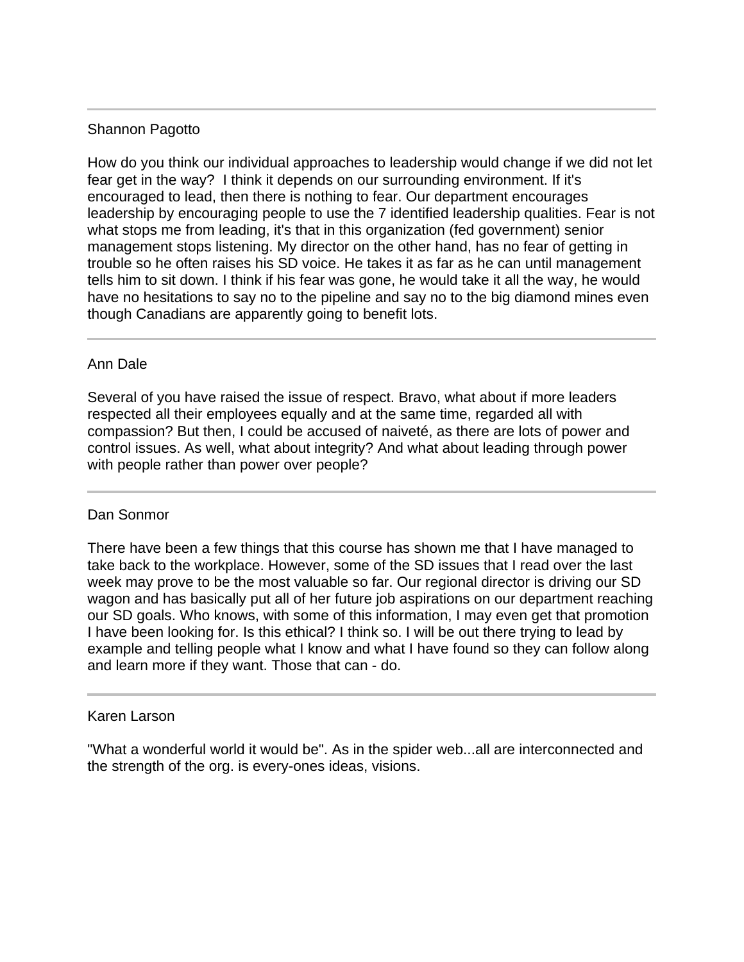# Shannon Pagotto

How do you think our individual approaches to leadership would change if we did not let fear get in the way? I think it depends on our surrounding environment. If it's encouraged to lead, then there is nothing to fear. Our department encourages leadership by encouraging people to use the 7 identified leadership qualities. Fear is not what stops me from leading, it's that in this organization (fed government) senior management stops listening. My director on the other hand, has no fear of getting in trouble so he often raises his SD voice. He takes it as far as he can until management tells him to sit down. I think if his fear was gone, he would take it all the way, he would have no hesitations to say no to the pipeline and say no to the big diamond mines even though Canadians are apparently going to benefit lots.

# Ann Dale

Several of you have raised the issue of respect. Bravo, what about if more leaders respected all their employees equally and at the same time, regarded all with compassion? But then, I could be accused of naiveté, as there are lots of power and control issues. As well, what about integrity? And what about leading through power with people rather than power over people?

# Dan Sonmor

There have been a few things that this course has shown me that I have managed to take back to the workplace. However, some of the SD issues that I read over the last week may prove to be the most valuable so far. Our regional director is driving our SD wagon and has basically put all of her future job aspirations on our department reaching our SD goals. Who knows, with some of this information, I may even get that promotion I have been looking for. Is this ethical? I think so. I will be out there trying to lead by example and telling people what I know and what I have found so they can follow along and learn more if they want. Those that can - do.

## Karen Larson

Ī

"What a wonderful world it would be". As in the spider web...all are interconnected and the strength of the org. is every-ones ideas, visions.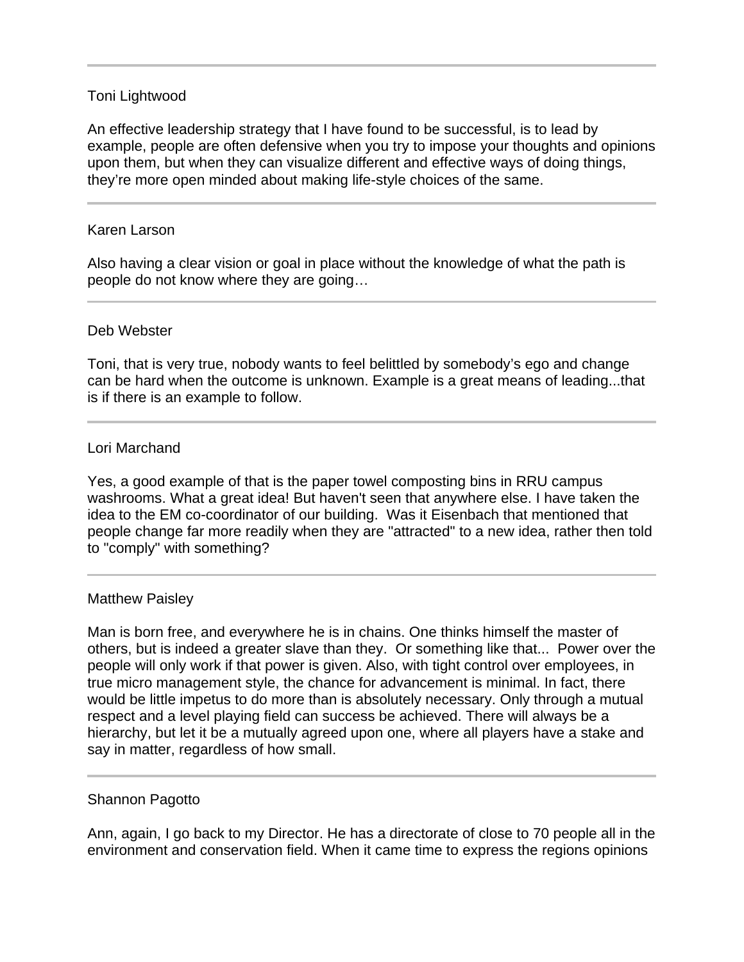# Toni Lightwood

An effective leadership strategy that I have found to be successful, is to lead by example, people are often defensive when you try to impose your thoughts and opinions upon them, but when they can visualize different and effective ways of doing things, they're more open minded about making life-style choices of the same.

#### Karen Larson

l

Also having a clear vision or goal in place without the knowledge of what the path is people do not know where they are going…

### Deb Webster

Toni, that is very true, nobody wants to feel belittled by somebody's ego and change can be hard when the outcome is unknown. Example is a great means of leading...that is if there is an example to follow.

#### Lori Marchand

Yes, a good example of that is the paper towel composting bins in RRU campus washrooms. What a great idea! But haven't seen that anywhere else. I have taken the idea to the EM co-coordinator of our building. Was it Eisenbach that mentioned that people change far more readily when they are "attracted" to a new idea, rather then told to "comply" with something?

#### Matthew Paisley

Man is born free, and everywhere he is in chains. One thinks himself the master of others, but is indeed a greater slave than they. Or something like that... Power over the people will only work if that power is given. Also, with tight control over employees, in true micro management style, the chance for advancement is minimal. In fact, there would be little impetus to do more than is absolutely necessary. Only through a mutual respect and a level playing field can success be achieved. There will always be a hierarchy, but let it be a mutually agreed upon one, where all players have a stake and say in matter, regardless of how small.

### Shannon Pagotto

Ann, again, I go back to my Director. He has a directorate of close to 70 people all in the environment and conservation field. When it came time to express the regions opinions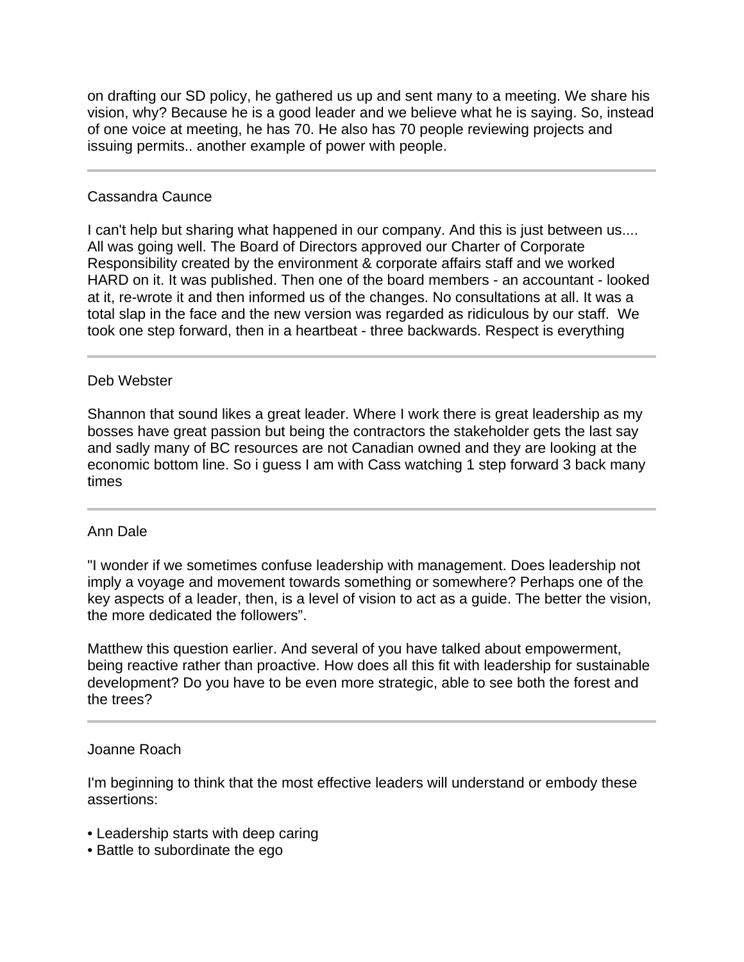on drafting our SD policy, he gathered us up and sent many to a meeting. We share his vision, why? Because he is a good leader and we believe what he is saying. So, instead of one voice at meeting, he has 70. He also has 70 people reviewing projects and issuing permits.. another example of power with people.

# Cassandra Caunce

I can't help but sharing what happened in our company. And this is just between us.... All was going well. The Board of Directors approved our Charter of Corporate Responsibility created by the environment & corporate affairs staff and we worked HARD on it. It was published. Then one of the board members - an accountant - looked at it, re-wrote it and then informed us of the changes. No consultations at all. It was a total slap in the face and the new version was regarded as ridiculous by our staff. We took one step forward, then in a heartbeat - three backwards. Respect is everything

# Deb Webster

Shannon that sound likes a great leader. Where I work there is great leadership as my bosses have great passion but being the contractors the stakeholder gets the last say and sadly many of BC resources are not Canadian owned and they are looking at the economic bottom line. So i guess I am with Cass watching 1 step forward 3 back many times

### Ann Dale

"I wonder if we sometimes confuse leadership with management. Does leadership not imply a voyage and movement towards something or somewhere? Perhaps one of the key aspects of a leader, then, is a level of vision to act as a guide. The better the vision, the more dedicated the followers".

Matthew this question earlier. And several of you have talked about empowerment, being reactive rather than proactive. How does all this fit with leadership for sustainable development? Do you have to be even more strategic, able to see both the forest and the trees?

## Joanne Roach

I'm beginning to think that the most effective leaders will understand or embody these assertions:

- Leadership starts with deep caring
- Battle to subordinate the ego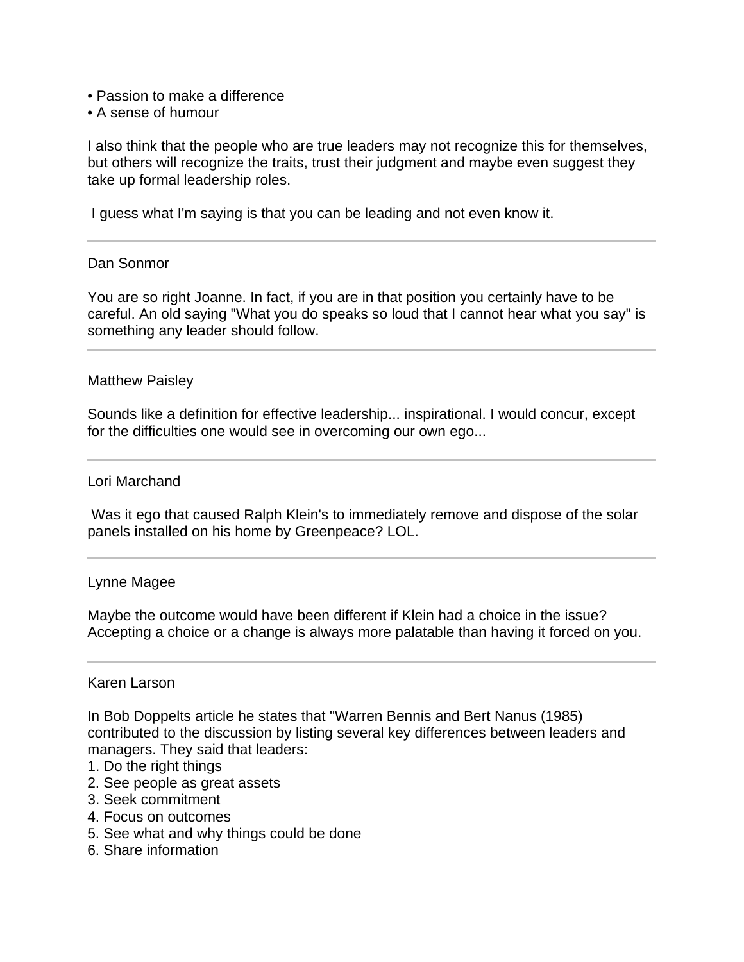- Passion to make a difference
- A sense of humour

I also think that the people who are true leaders may not recognize this for themselves, but others will recognize the traits, trust their judgment and maybe even suggest they take up formal leadership roles.

I guess what I'm saying is that you can be leading and not even know it.

#### Dan Sonmor

Ĩ

You are so right Joanne. In fact, if you are in that position you certainly have to be careful. An old saying "What you do speaks so loud that I cannot hear what you say" is something any leader should follow.

#### Matthew Paisley

Sounds like a definition for effective leadership... inspirational. I would concur, except for the difficulties one would see in overcoming our own ego...

#### Lori Marchand

 Was it ego that caused Ralph Klein's to immediately remove and dispose of the solar panels installed on his home by Greenpeace? LOL.

#### Lynne Magee

Maybe the outcome would have been different if Klein had a choice in the issue? Accepting a choice or a change is always more palatable than having it forced on you.

#### Karen Larson

In Bob Doppelts article he states that "Warren Bennis and Bert Nanus (1985) contributed to the discussion by listing several key differences between leaders and managers. They said that leaders:

- 1. Do the right things
- 2. See people as great assets
- 3. Seek commitment
- 4. Focus on outcomes
- 5. See what and why things could be done
- 6. Share information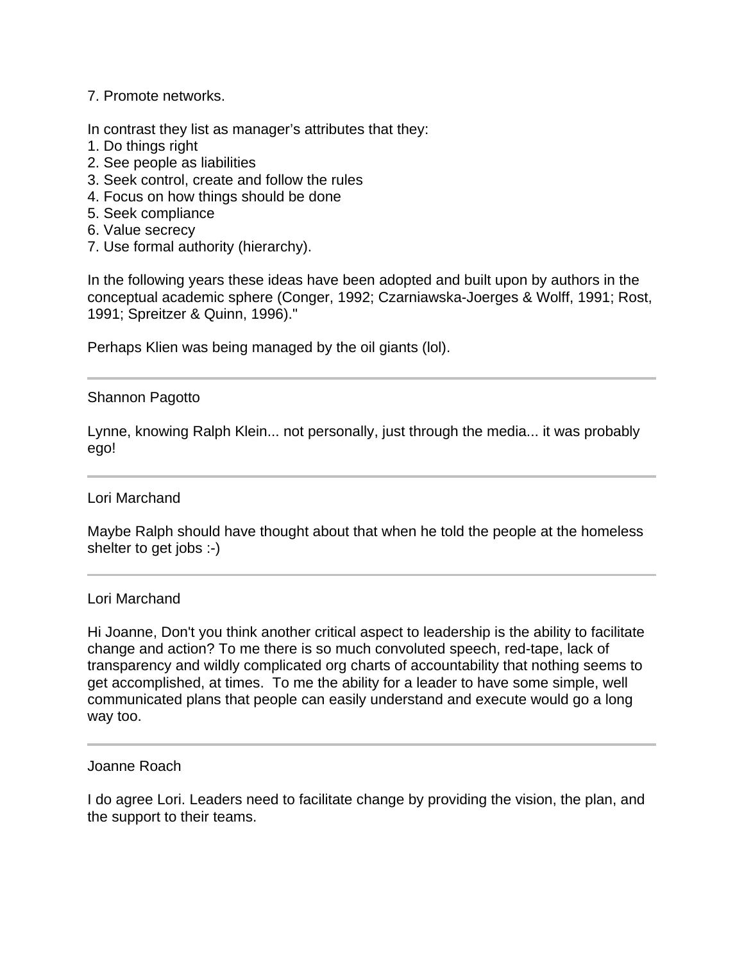# 7. Promote networks.

In contrast they list as manager's attributes that they:

- 1. Do things right
- 2. See people as liabilities
- 3. Seek control, create and follow the rules
- 4. Focus on how things should be done
- 5. Seek compliance
- 6. Value secrecy
- 7. Use formal authority (hierarchy).

In the following years these ideas have been adopted and built upon by authors in the conceptual academic sphere (Conger, 1992; Czarniawska-Joerges & Wolff, 1991; Rost, 1991; Spreitzer & Quinn, 1996)."

Perhaps Klien was being managed by the oil giants (lol).

### Shannon Pagotto

j

Lynne, knowing Ralph Klein... not personally, just through the media... it was probably ego!

### Lori Marchand

Maybe Ralph should have thought about that when he told the people at the homeless shelter to get jobs :-)

### Lori Marchand

Hi Joanne, Don't you think another critical aspect to leadership is the ability to facilitate change and action? To me there is so much convoluted speech, red-tape, lack of transparency and wildly complicated org charts of accountability that nothing seems to get accomplished, at times. To me the ability for a leader to have some simple, well communicated plans that people can easily understand and execute would go a long way too.

#### Joanne Roach

I do agree Lori. Leaders need to facilitate change by providing the vision, the plan, and the support to their teams.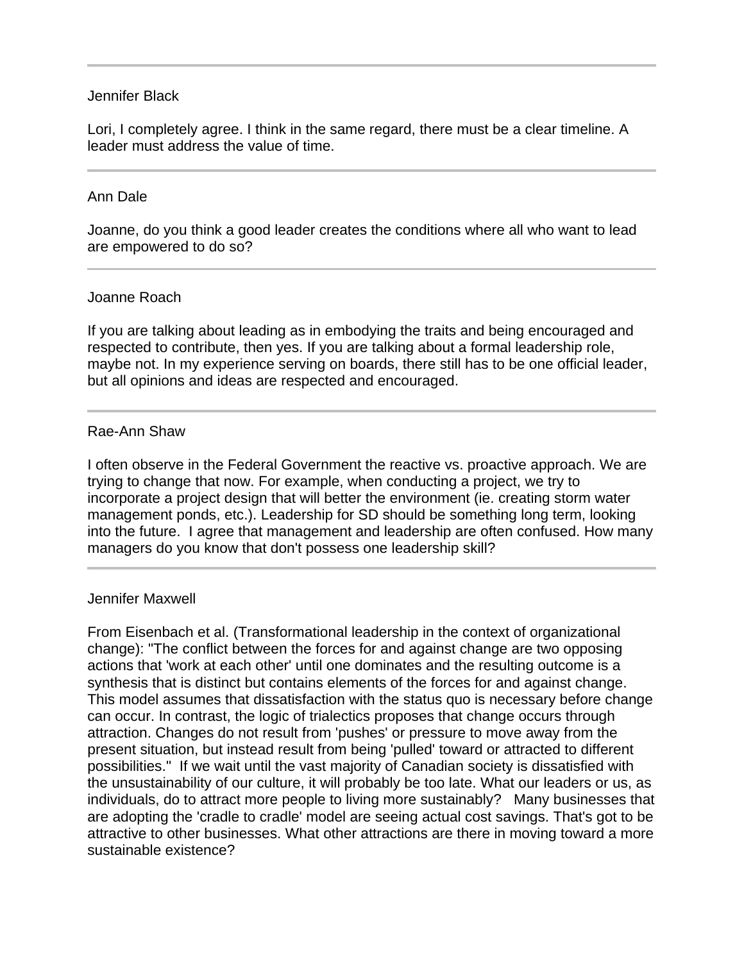# Jennifer Black

Lori, I completely agree. I think in the same regard, there must be a clear timeline. A leader must address the value of time.

#### Ann Dale

l

Joanne, do you think a good leader creates the conditions where all who want to lead are empowered to do so?

#### Joanne Roach

If you are talking about leading as in embodying the traits and being encouraged and respected to contribute, then yes. If you are talking about a formal leadership role, maybe not. In my experience serving on boards, there still has to be one official leader, but all opinions and ideas are respected and encouraged.

### Rae-Ann Shaw

I often observe in the Federal Government the reactive vs. proactive approach. We are trying to change that now. For example, when conducting a project, we try to incorporate a project design that will better the environment (ie. creating storm water management ponds, etc.). Leadership for SD should be something long term, looking into the future. I agree that management and leadership are often confused. How many managers do you know that don't possess one leadership skill?

#### Jennifer Maxwell

From Eisenbach et al. (Transformational leadership in the context of organizational change): "The conflict between the forces for and against change are two opposing actions that 'work at each other' until one dominates and the resulting outcome is a synthesis that is distinct but contains elements of the forces for and against change. This model assumes that dissatisfaction with the status quo is necessary before change can occur. In contrast, the logic of trialectics proposes that change occurs through attraction. Changes do not result from 'pushes' or pressure to move away from the present situation, but instead result from being 'pulled' toward or attracted to different possibilities." If we wait until the vast majority of Canadian society is dissatisfied with the unsustainability of our culture, it will probably be too late. What our leaders or us, as individuals, do to attract more people to living more sustainably? Many businesses that are adopting the 'cradle to cradle' model are seeing actual cost savings. That's got to be attractive to other businesses. What other attractions are there in moving toward a more sustainable existence?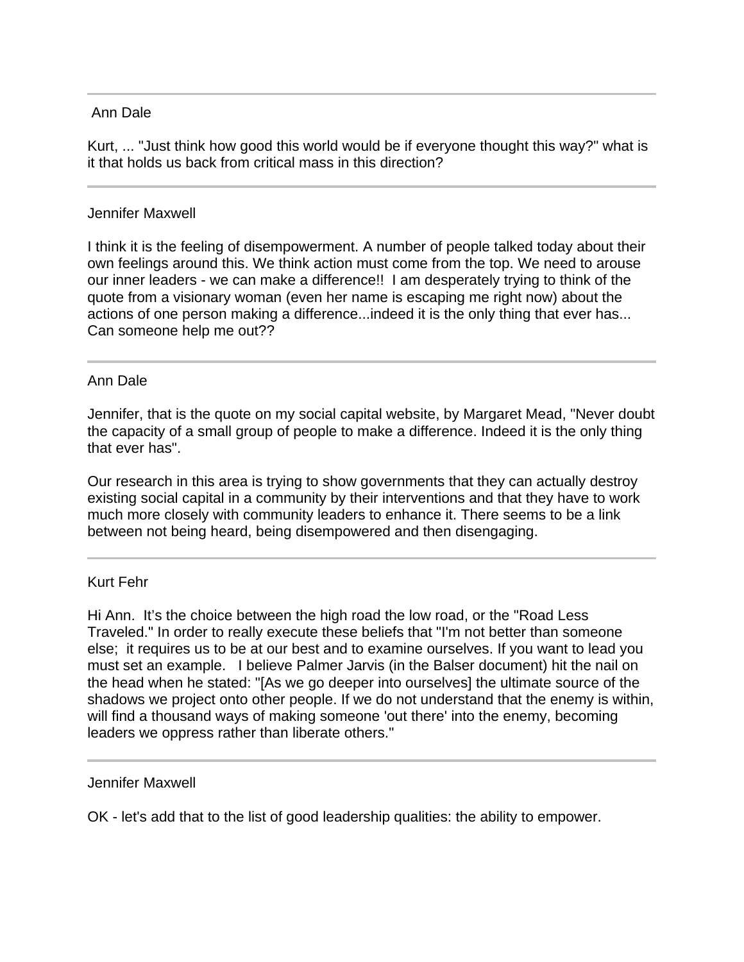# Ann Dale

 $\overline{a}$ 

Kurt, ... "Just think how good this world would be if everyone thought this way?" what is it that holds us back from critical mass in this direction?

# Jennifer Maxwell

I think it is the feeling of disempowerment. A number of people talked today about their own feelings around this. We think action must come from the top. We need to arouse our inner leaders - we can make a difference!! I am desperately trying to think of the quote from a visionary woman (even her name is escaping me right now) about the actions of one person making a difference...indeed it is the only thing that ever has... Can someone help me out??

# Ann Dale

Jennifer, that is the quote on my social capital website, by Margaret Mead, "Never doubt the capacity of a small group of people to make a difference. Indeed it is the only thing that ever has".

Our research in this area is trying to show governments that they can actually destroy existing social capital in a community by their interventions and that they have to work much more closely with community leaders to enhance it. There seems to be a link between not being heard, being disempowered and then disengaging.

# Kurt Fehr

Hi Ann. It's the choice between the high road the low road, or the "Road Less Traveled." In order to really execute these beliefs that "I'm not better than someone else; it requires us to be at our best and to examine ourselves. If you want to lead you must set an example. I believe Palmer Jarvis (in the Balser document) hit the nail on the head when he stated: "[As we go deeper into ourselves] the ultimate source of the shadows we project onto other people. If we do not understand that the enemy is within, will find a thousand ways of making someone 'out there' into the enemy, becoming leaders we oppress rather than liberate others."

Jennifer Maxwell

OK - let's add that to the list of good leadership qualities: the ability to empower.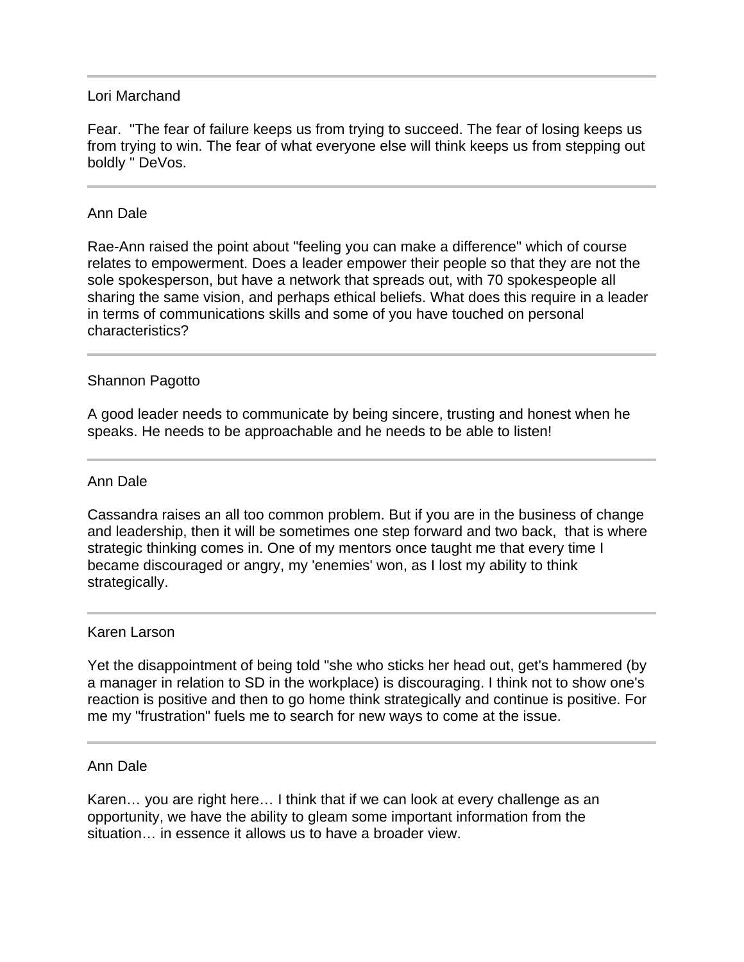# Lori Marchand

Fear. "The fear of failure keeps us from trying to succeed. The fear of losing keeps us from trying to win. The fear of what everyone else will think keeps us from stepping out boldly " DeVos.

## Ann Dale

l

Rae-Ann raised the point about "feeling you can make a difference" which of course relates to empowerment. Does a leader empower their people so that they are not the sole spokesperson, but have a network that spreads out, with 70 spokespeople all sharing the same vision, and perhaps ethical beliefs. What does this require in a leader in terms of communications skills and some of you have touched on personal characteristics?

# Shannon Pagotto

A good leader needs to communicate by being sincere, trusting and honest when he speaks. He needs to be approachable and he needs to be able to listen!

### Ann Dale

Cassandra raises an all too common problem. But if you are in the business of change and leadership, then it will be sometimes one step forward and two back, that is where strategic thinking comes in. One of my mentors once taught me that every time I became discouraged or angry, my 'enemies' won, as I lost my ability to think strategically.

#### Karen Larson

j

Yet the disappointment of being told "she who sticks her head out, get's hammered (by a manager in relation to SD in the workplace) is discouraging. I think not to show one's reaction is positive and then to go home think strategically and continue is positive. For me my "frustration" fuels me to search for new ways to come at the issue.

#### Ann Dale

Karen… you are right here… I think that if we can look at every challenge as an opportunity, we have the ability to gleam some important information from the situation… in essence it allows us to have a broader view.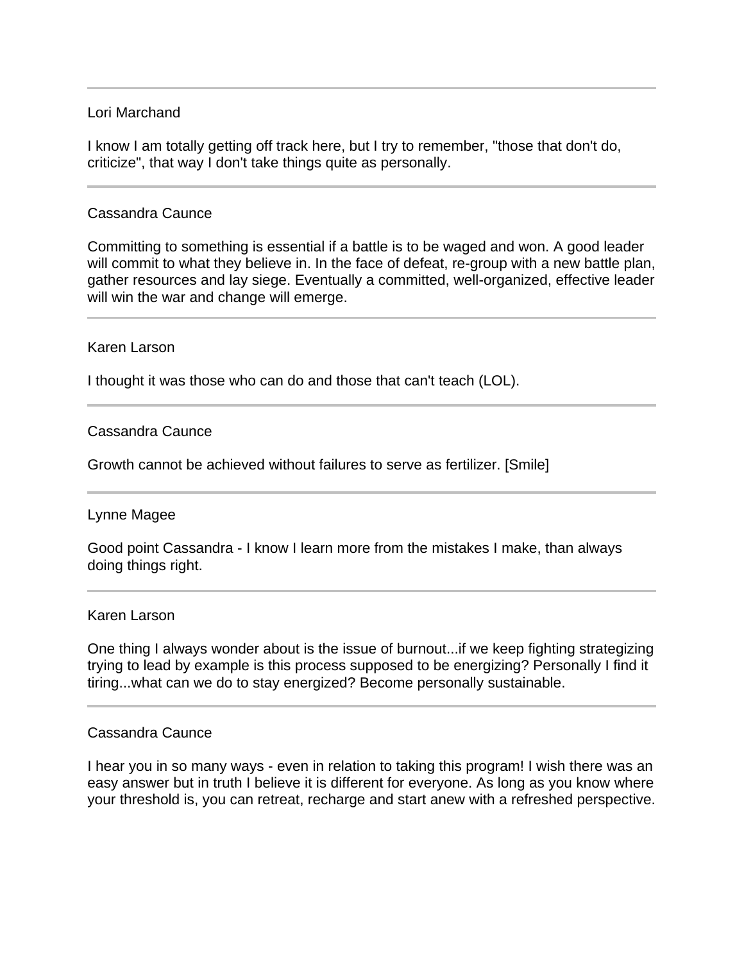## Lori Marchand

I know I am totally getting off track here, but I try to remember, "those that don't do, criticize", that way I don't take things quite as personally.

## Cassandra Caunce

Committing to something is essential if a battle is to be waged and won. A good leader will commit to what they believe in. In the face of defeat, re-group with a new battle plan, gather resources and lay siege. Eventually a committed, well-organized, effective leader will win the war and change will emerge.

## Karen Larson

I thought it was those who can do and those that can't teach (LOL).

### Cassandra Caunce

Growth cannot be achieved without failures to serve as fertilizer. [Smile]

### Lynne Magee

Good point Cassandra - I know I learn more from the mistakes I make, than always doing things right.

#### Karen Larson

One thing I always wonder about is the issue of burnout...if we keep fighting strategizing trying to lead by example is this process supposed to be energizing? Personally I find it tiring...what can we do to stay energized? Become personally sustainable.

#### Cassandra Caunce

I hear you in so many ways - even in relation to taking this program! I wish there was an easy answer but in truth I believe it is different for everyone. As long as you know where your threshold is, you can retreat, recharge and start anew with a refreshed perspective.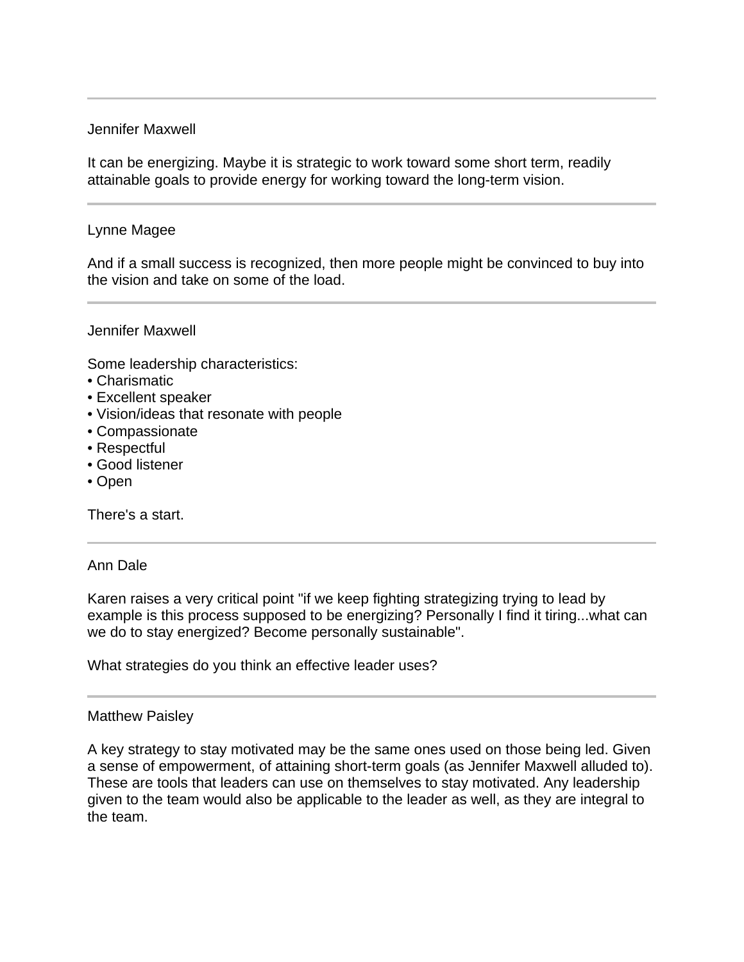# Jennifer Maxwell

It can be energizing. Maybe it is strategic to work toward some short term, readily attainable goals to provide energy for working toward the long-term vision.

## Lynne Magee

And if a small success is recognized, then more people might be convinced to buy into the vision and take on some of the load.

#### Jennifer Maxwell

Some leadership characteristics:

- Charismatic
- Excellent speaker
- Vision/ideas that resonate with people
- Compassionate
- Respectful
- Good listener
- Open

There's a start.

### Ann Dale

Karen raises a very critical point "if we keep fighting strategizing trying to lead by example is this process supposed to be energizing? Personally I find it tiring...what can we do to stay energized? Become personally sustainable".

What strategies do you think an effective leader uses?

### Matthew Paisley

A key strategy to stay motivated may be the same ones used on those being led. Given a sense of empowerment, of attaining short-term goals (as Jennifer Maxwell alluded to). These are tools that leaders can use on themselves to stay motivated. Any leadership given to the team would also be applicable to the leader as well, as they are integral to the team.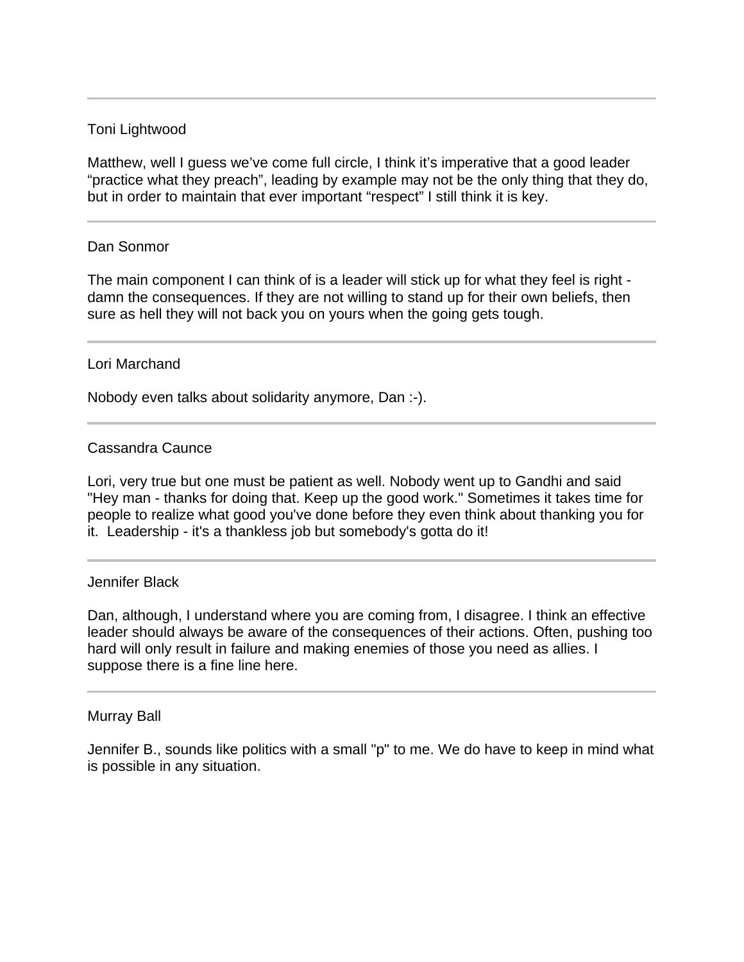# Toni Lightwood

Matthew, well I guess we've come full circle, I think it's imperative that a good leader "practice what they preach", leading by example may not be the only thing that they do, but in order to maintain that ever important "respect" I still think it is key.

### Dan Sonmor

The main component I can think of is a leader will stick up for what they feel is right damn the consequences. If they are not willing to stand up for their own beliefs, then sure as hell they will not back you on yours when the going gets tough.

#### Lori Marchand

Nobody even talks about solidarity anymore, Dan :-).

### Cassandra Caunce

Lori, very true but one must be patient as well. Nobody went up to Gandhi and said "Hey man - thanks for doing that. Keep up the good work." Sometimes it takes time for people to realize what good you've done before they even think about thanking you for it. Leadership - it's a thankless job but somebody's gotta do it!

#### Jennifer Black

Dan, although, I understand where you are coming from, I disagree. I think an effective leader should always be aware of the consequences of their actions. Often, pushing too hard will only result in failure and making enemies of those you need as allies. I suppose there is a fine line here.

#### Murray Ball

Jennifer B., sounds like politics with a small "p" to me. We do have to keep in mind what is possible in any situation.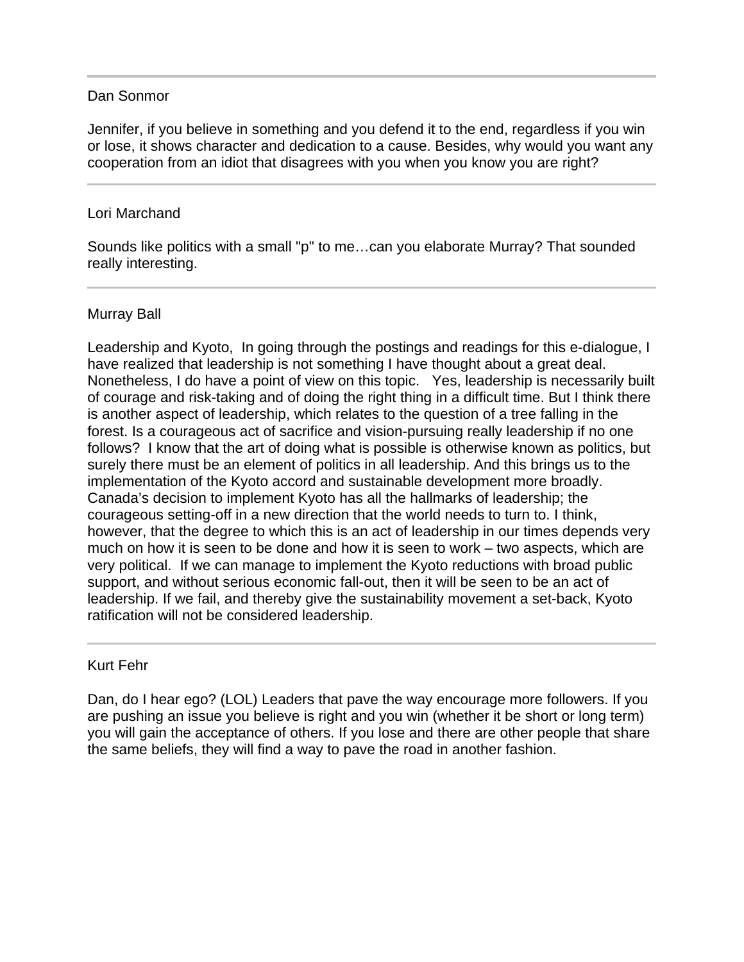# Dan Sonmor

Jennifer, if you believe in something and you defend it to the end, regardless if you win or lose, it shows character and dedication to a cause. Besides, why would you want any cooperation from an idiot that disagrees with you when you know you are right?

# Lori Marchand

ı

l

Sounds like politics with a small "p" to me…can you elaborate Murray? That sounded really interesting.

# Murray Ball

Leadership and Kyoto, In going through the postings and readings for this e-dialogue, I have realized that leadership is not something I have thought about a great deal. Nonetheless, I do have a point of view on this topic. Yes, leadership is necessarily built of courage and risk-taking and of doing the right thing in a difficult time. But I think there is another aspect of leadership, which relates to the question of a tree falling in the forest. Is a courageous act of sacrifice and vision-pursuing really leadership if no one follows? I know that the art of doing what is possible is otherwise known as politics, but surely there must be an element of politics in all leadership. And this brings us to the implementation of the Kyoto accord and sustainable development more broadly. Canada's decision to implement Kyoto has all the hallmarks of leadership; the courageous setting-off in a new direction that the world needs to turn to. I think, however, that the degree to which this is an act of leadership in our times depends very much on how it is seen to be done and how it is seen to work – two aspects, which are very political. If we can manage to implement the Kyoto reductions with broad public support, and without serious economic fall-out, then it will be seen to be an act of leadership. If we fail, and thereby give the sustainability movement a set-back, Kyoto ratification will not be considered leadership.

### Kurt Fehr

Dan, do I hear ego? (LOL) Leaders that pave the way encourage more followers. If you are pushing an issue you believe is right and you win (whether it be short or long term) you will gain the acceptance of others. If you lose and there are other people that share the same beliefs, they will find a way to pave the road in another fashion.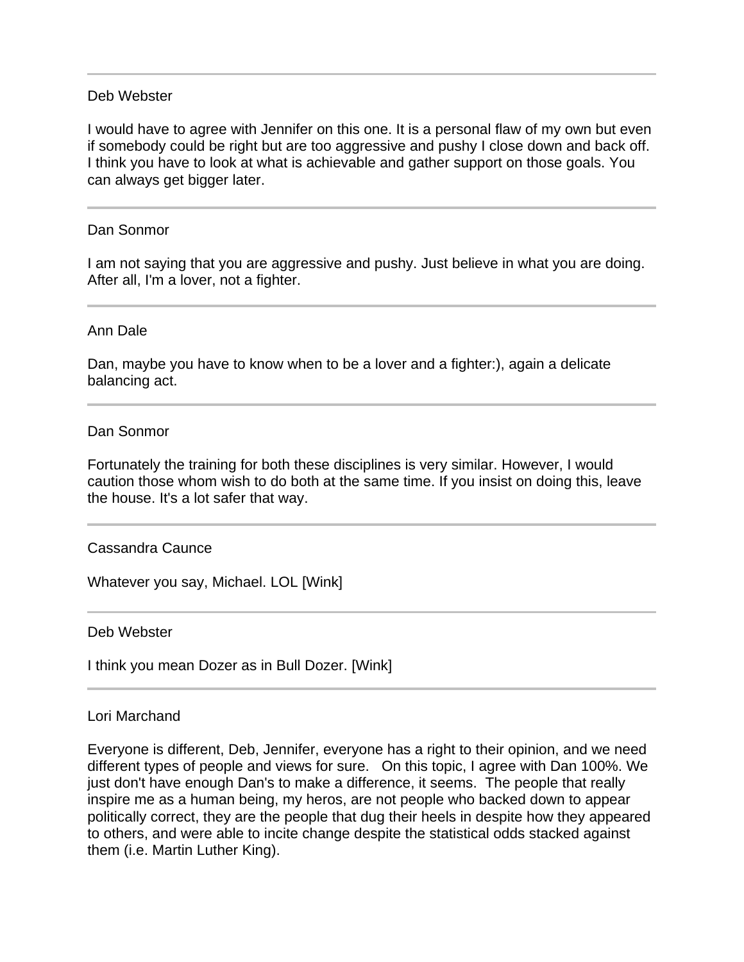## Deb Webster

I would have to agree with Jennifer on this one. It is a personal flaw of my own but even if somebody could be right but are too aggressive and pushy I close down and back off. I think you have to look at what is achievable and gather support on those goals. You can always get bigger later.

### Dan Sonmor

I am not saying that you are aggressive and pushy. Just believe in what you are doing. After all, I'm a lover, not a fighter.

#### Ann Dale

l

Dan, maybe you have to know when to be a lover and a fighter:), again a delicate balancing act.

#### Dan Sonmor

Fortunately the training for both these disciplines is very similar. However, I would caution those whom wish to do both at the same time. If you insist on doing this, leave the house. It's a lot safer that way.

### Cassandra Caunce

Whatever you say, Michael. LOL [Wink]

#### Deb Webster

l

I think you mean Dozer as in Bull Dozer. [Wink]

### Lori Marchand

Everyone is different, Deb, Jennifer, everyone has a right to their opinion, and we need different types of people and views for sure. On this topic, I agree with Dan 100%. We just don't have enough Dan's to make a difference, it seems. The people that really inspire me as a human being, my heros, are not people who backed down to appear politically correct, they are the people that dug their heels in despite how they appeared to others, and were able to incite change despite the statistical odds stacked against them (i.e. Martin Luther King).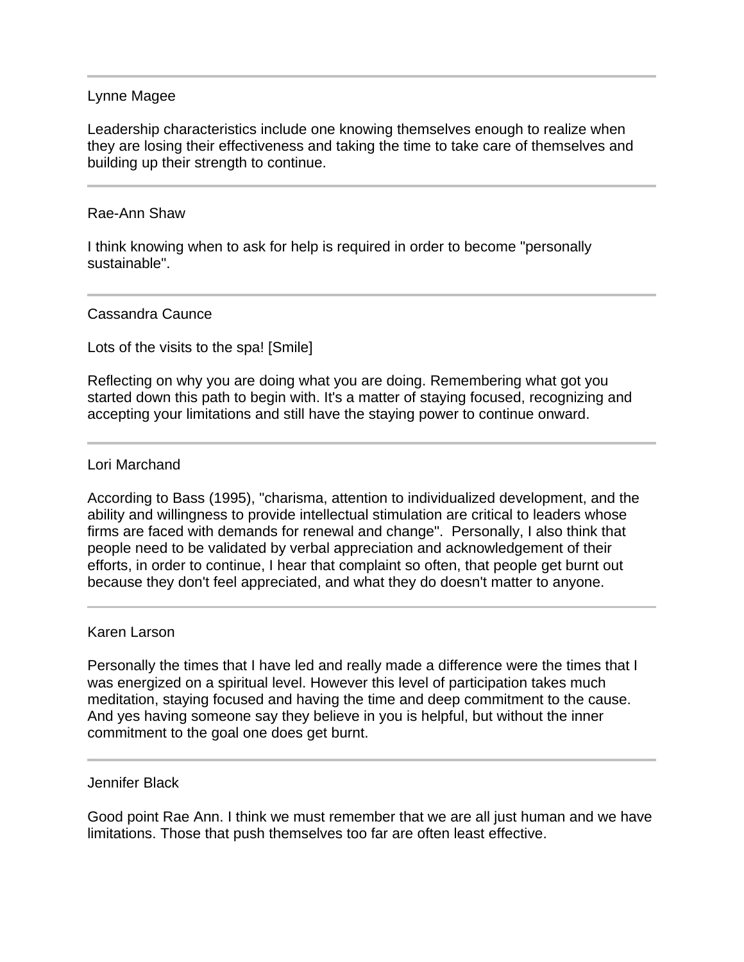### Lynne Magee

Leadership characteristics include one knowing themselves enough to realize when they are losing their effectiveness and taking the time to take care of themselves and building up their strength to continue.

#### Rae-Ann Shaw

l

I think knowing when to ask for help is required in order to become "personally sustainable".

#### Cassandra Caunce

Lots of the visits to the spa! [Smile]

Reflecting on why you are doing what you are doing. Remembering what got you started down this path to begin with. It's a matter of staying focused, recognizing and accepting your limitations and still have the staying power to continue onward.

#### Lori Marchand

According to Bass (1995), "charisma, attention to individualized development, and the ability and willingness to provide intellectual stimulation are critical to leaders whose firms are faced with demands for renewal and change". Personally, I also think that people need to be validated by verbal appreciation and acknowledgement of their efforts, in order to continue, I hear that complaint so often, that people get burnt out because they don't feel appreciated, and what they do doesn't matter to anyone.

#### Karen Larson

Personally the times that I have led and really made a difference were the times that I was energized on a spiritual level. However this level of participation takes much meditation, staying focused and having the time and deep commitment to the cause. And yes having someone say they believe in you is helpful, but without the inner commitment to the goal one does get burnt.

#### Jennifer Black

Good point Rae Ann. I think we must remember that we are all just human and we have limitations. Those that push themselves too far are often least effective.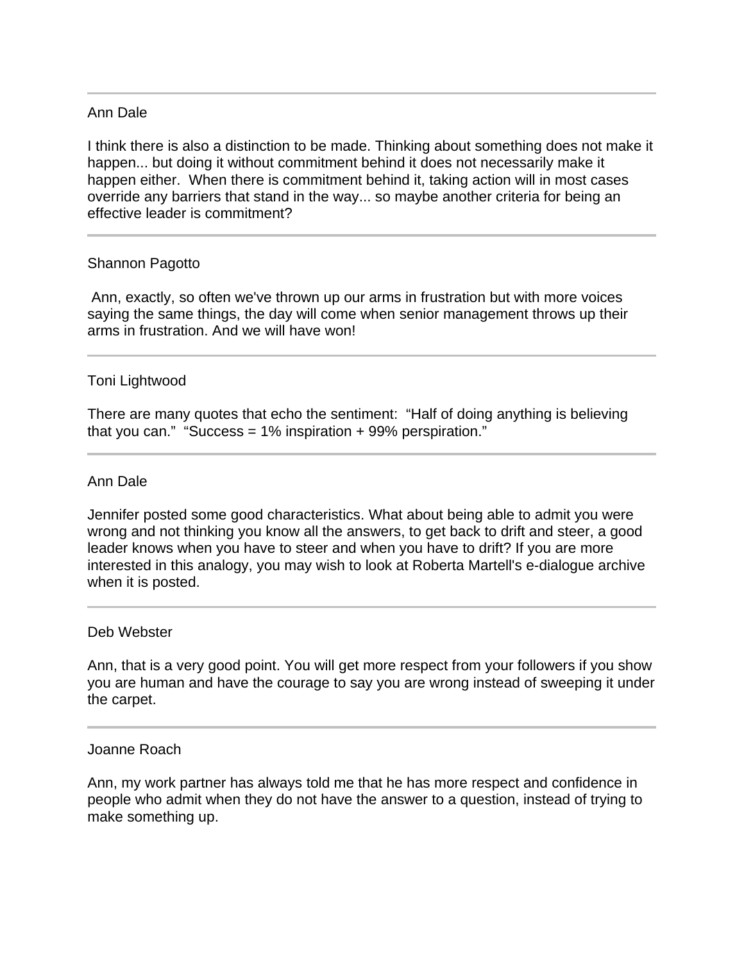# Ann Dale

l

I think there is also a distinction to be made. Thinking about something does not make it happen... but doing it without commitment behind it does not necessarily make it happen either. When there is commitment behind it, taking action will in most cases override any barriers that stand in the way... so maybe another criteria for being an effective leader is commitment?

### Shannon Pagotto

 Ann, exactly, so often we've thrown up our arms in frustration but with more voices saying the same things, the day will come when senior management throws up their arms in frustration. And we will have won!

# Toni Lightwood

There are many quotes that echo the sentiment: "Half of doing anything is believing that you can." "Success =  $1\%$  inspiration + 99% perspiration."

### Ann Dale

Jennifer posted some good characteristics. What about being able to admit you were wrong and not thinking you know all the answers, to get back to drift and steer, a good leader knows when you have to steer and when you have to drift? If you are more interested in this analogy, you may wish to look at Roberta Martell's e-dialogue archive when it is posted.

#### Deb Webster

Ann, that is a very good point. You will get more respect from your followers if you show you are human and have the courage to say you are wrong instead of sweeping it under the carpet.

#### Joanne Roach

Ann, my work partner has always told me that he has more respect and confidence in people who admit when they do not have the answer to a question, instead of trying to make something up.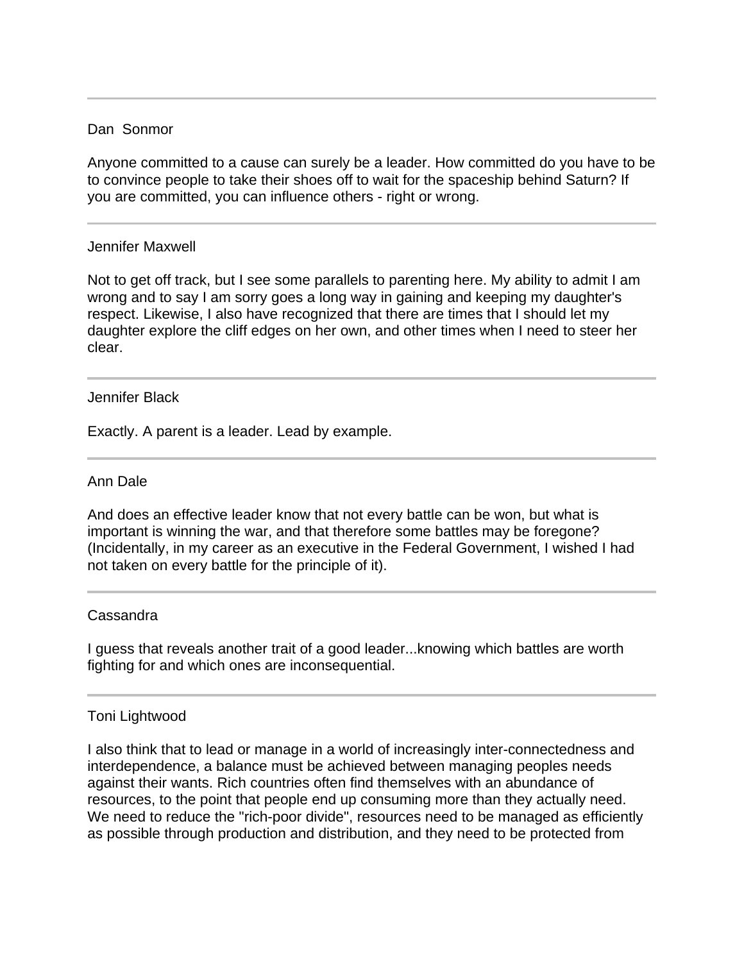## Dan Sonmor

Anyone committed to a cause can surely be a leader. How committed do you have to be to convince people to take their shoes off to wait for the spaceship behind Saturn? If you are committed, you can influence others - right or wrong.

### Jennifer Maxwell

Ī

Not to get off track, but I see some parallels to parenting here. My ability to admit I am wrong and to say I am sorry goes a long way in gaining and keeping my daughter's respect. Likewise, I also have recognized that there are times that I should let my daughter explore the cliff edges on her own, and other times when I need to steer her clear.

#### Jennifer Black

Exactly. A parent is a leader. Lead by example.

#### Ann Dale

And does an effective leader know that not every battle can be won, but what is important is winning the war, and that therefore some battles may be foregone? (Incidentally, in my career as an executive in the Federal Government, I wished I had not taken on every battle for the principle of it).

### Cassandra

I guess that reveals another trait of a good leader...knowing which battles are worth fighting for and which ones are inconsequential.

### Toni Lightwood

I also think that to lead or manage in a world of increasingly inter-connectedness and interdependence, a balance must be achieved between managing peoples needs against their wants. Rich countries often find themselves with an abundance of resources, to the point that people end up consuming more than they actually need. We need to reduce the "rich-poor divide", resources need to be managed as efficiently as possible through production and distribution, and they need to be protected from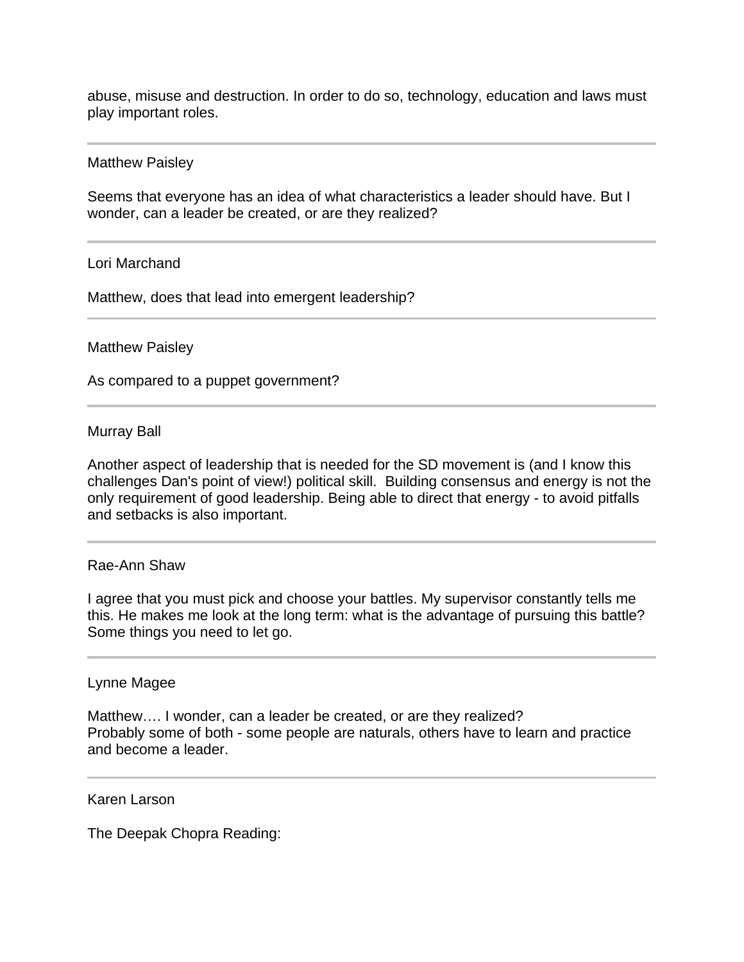abuse, misuse and destruction. In order to do so, technology, education and laws must play important roles.

#### Matthew Paisley

Seems that everyone has an idea of what characteristics a leader should have. But I wonder, can a leader be created, or are they realized?

#### Lori Marchand

Matthew, does that lead into emergent leadership?

#### Matthew Paisley

As compared to a puppet government?

#### Murray Ball

Another aspect of leadership that is needed for the SD movement is (and I know this challenges Dan's point of view!) political skill. Building consensus and energy is not the only requirement of good leadership. Being able to direct that energy - to avoid pitfalls and setbacks is also important.

#### Rae-Ann Shaw

I agree that you must pick and choose your battles. My supervisor constantly tells me this. He makes me look at the long term: what is the advantage of pursuing this battle? Some things you need to let go.

#### Lynne Magee

Matthew.... I wonder, can a leader be created, or are they realized? Probably some of both - some people are naturals, others have to learn and practice and become a leader.

#### Karen Larson

The Deepak Chopra Reading: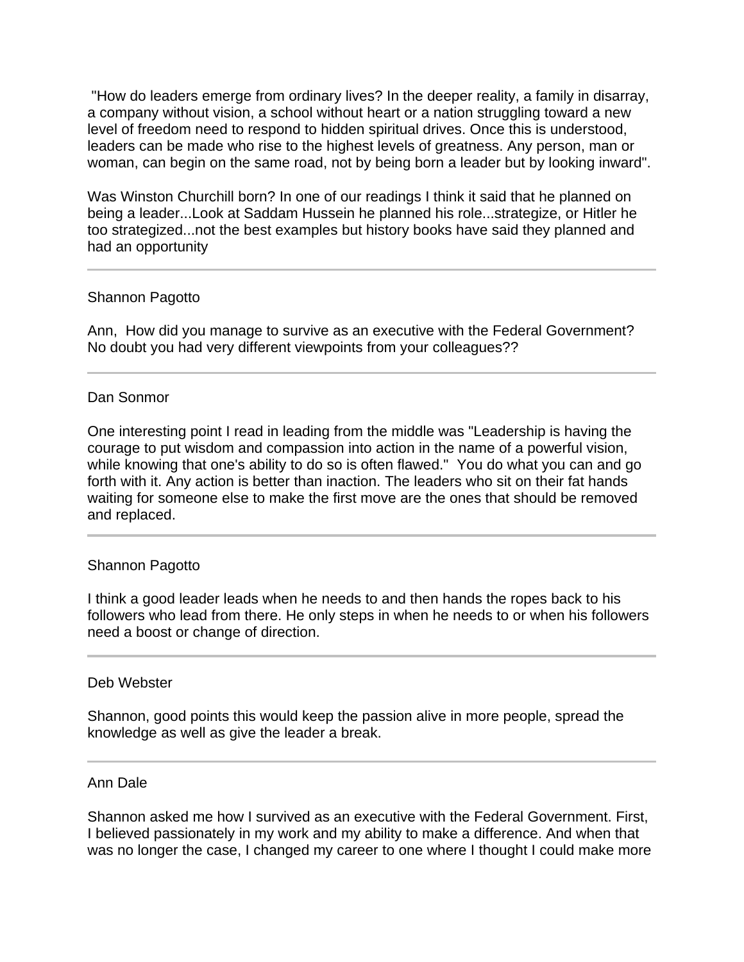"How do leaders emerge from ordinary lives? In the deeper reality, a family in disarray, a company without vision, a school without heart or a nation struggling toward a new level of freedom need to respond to hidden spiritual drives. Once this is understood, leaders can be made who rise to the highest levels of greatness. Any person, man or woman, can begin on the same road, not by being born a leader but by looking inward".

Was Winston Churchill born? In one of our readings I think it said that he planned on being a leader...Look at Saddam Hussein he planned his role...strategize, or Hitler he too strategized...not the best examples but history books have said they planned and had an opportunity

### Shannon Pagotto

Ann, How did you manage to survive as an executive with the Federal Government? No doubt you had very different viewpoints from your colleagues??

#### Dan Sonmor

One interesting point I read in leading from the middle was "Leadership is having the courage to put wisdom and compassion into action in the name of a powerful vision, while knowing that one's ability to do so is often flawed." You do what you can and go forth with it. Any action is better than inaction. The leaders who sit on their fat hands waiting for someone else to make the first move are the ones that should be removed and replaced.

### Shannon Pagotto

I think a good leader leads when he needs to and then hands the ropes back to his followers who lead from there. He only steps in when he needs to or when his followers need a boost or change of direction.

#### Deb Webster

l

Shannon, good points this would keep the passion alive in more people, spread the knowledge as well as give the leader a break.

#### Ann Dale

Shannon asked me how I survived as an executive with the Federal Government. First, I believed passionately in my work and my ability to make a difference. And when that was no longer the case, I changed my career to one where I thought I could make more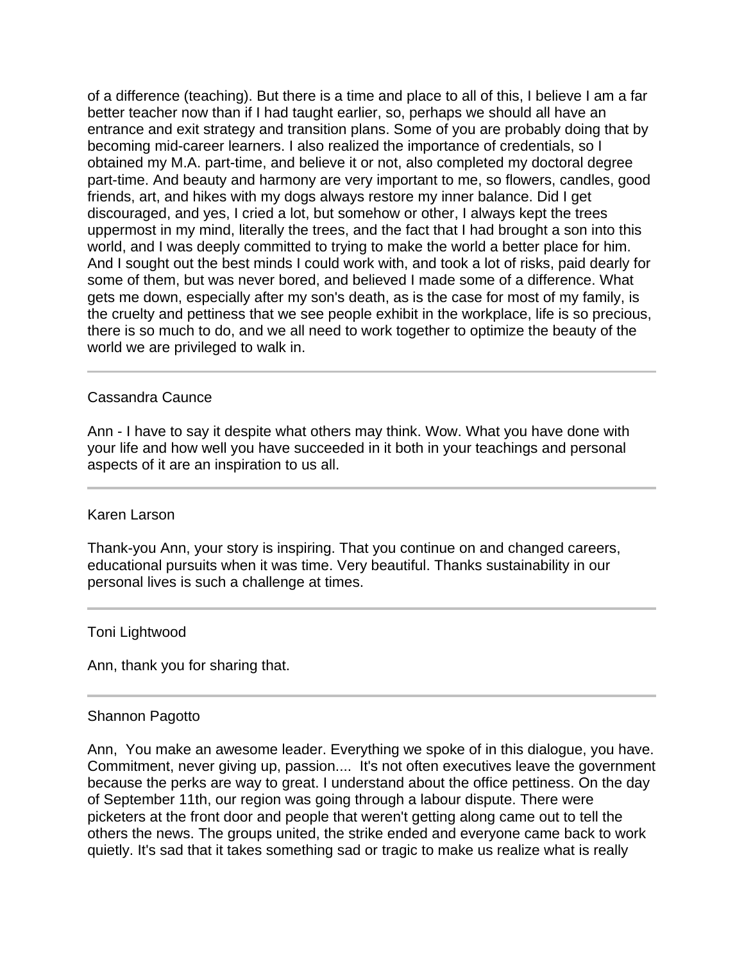of a difference (teaching). But there is a time and place to all of this, I believe I am a far better teacher now than if I had taught earlier, so, perhaps we should all have an entrance and exit strategy and transition plans. Some of you are probably doing that by becoming mid-career learners. I also realized the importance of credentials, so I obtained my M.A. part-time, and believe it or not, also completed my doctoral degree part-time. And beauty and harmony are very important to me, so flowers, candles, good friends, art, and hikes with my dogs always restore my inner balance. Did I get discouraged, and yes, I cried a lot, but somehow or other, I always kept the trees uppermost in my mind, literally the trees, and the fact that I had brought a son into this world, and I was deeply committed to trying to make the world a better place for him. And I sought out the best minds I could work with, and took a lot of risks, paid dearly for some of them, but was never bored, and believed I made some of a difference. What gets me down, especially after my son's death, as is the case for most of my family, is the cruelty and pettiness that we see people exhibit in the workplace, life is so precious, there is so much to do, and we all need to work together to optimize the beauty of the world we are privileged to walk in.

### Cassandra Caunce

 $\overline{a}$ 

Ann - I have to say it despite what others may think. Wow. What you have done with your life and how well you have succeeded in it both in your teachings and personal aspects of it are an inspiration to us all.

#### Karen Larson

Thank-you Ann, your story is inspiring. That you continue on and changed careers, educational pursuits when it was time. Very beautiful. Thanks sustainability in our personal lives is such a challenge at times.

#### Toni Lightwood

Ann, thank you for sharing that.

#### Shannon Pagotto

Ann, You make an awesome leader. Everything we spoke of in this dialogue, you have. Commitment, never giving up, passion.... It's not often executives leave the government because the perks are way to great. I understand about the office pettiness. On the day of September 11th, our region was going through a labour dispute. There were picketers at the front door and people that weren't getting along came out to tell the others the news. The groups united, the strike ended and everyone came back to work quietly. It's sad that it takes something sad or tragic to make us realize what is really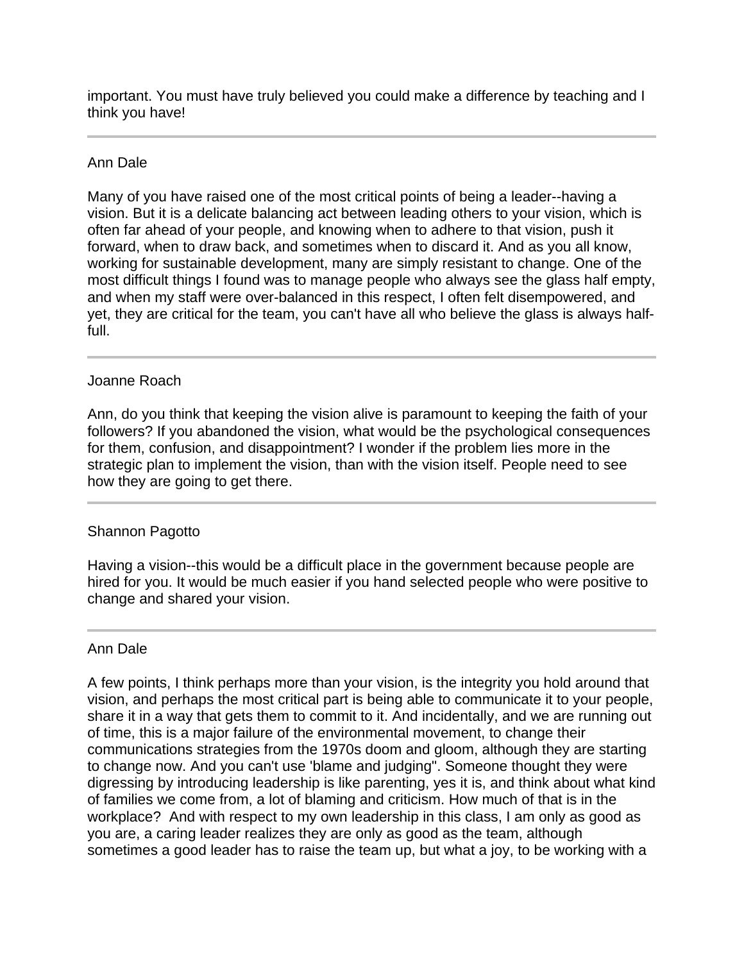important. You must have truly believed you could make a difference by teaching and I think you have!

# Ann Dale

Many of you have raised one of the most critical points of being a leader--having a vision. But it is a delicate balancing act between leading others to your vision, which is often far ahead of your people, and knowing when to adhere to that vision, push it forward, when to draw back, and sometimes when to discard it. And as you all know, working for sustainable development, many are simply resistant to change. One of the most difficult things I found was to manage people who always see the glass half empty, and when my staff were over-balanced in this respect, I often felt disempowered, and yet, they are critical for the team, you can't have all who believe the glass is always halffull.

# Joanne Roach

Ann, do you think that keeping the vision alive is paramount to keeping the faith of your followers? If you abandoned the vision, what would be the psychological consequences for them, confusion, and disappointment? I wonder if the problem lies more in the strategic plan to implement the vision, than with the vision itself. People need to see how they are going to get there.

### Shannon Pagotto

Having a vision--this would be a difficult place in the government because people are hired for you. It would be much easier if you hand selected people who were positive to change and shared your vision.

### Ann Dale

A few points, I think perhaps more than your vision, is the integrity you hold around that vision, and perhaps the most critical part is being able to communicate it to your people, share it in a way that gets them to commit to it. And incidentally, and we are running out of time, this is a major failure of the environmental movement, to change their communications strategies from the 1970s doom and gloom, although they are starting to change now. And you can't use 'blame and judging". Someone thought they were digressing by introducing leadership is like parenting, yes it is, and think about what kind of families we come from, a lot of blaming and criticism. How much of that is in the workplace? And with respect to my own leadership in this class, I am only as good as you are, a caring leader realizes they are only as good as the team, although sometimes a good leader has to raise the team up, but what a joy, to be working with a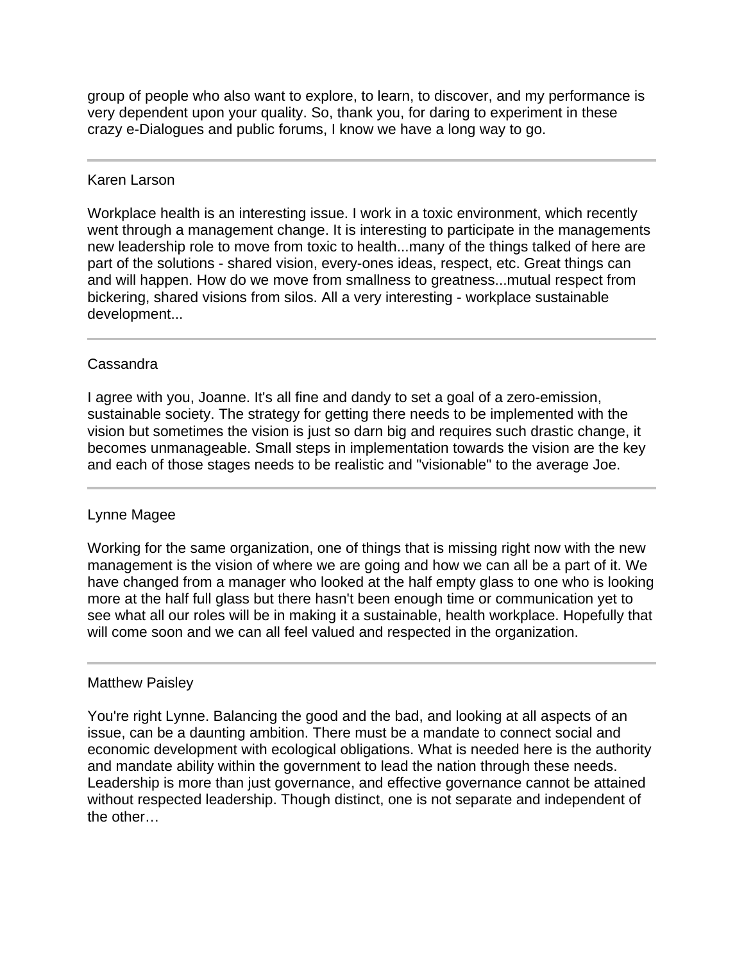group of people who also want to explore, to learn, to discover, and my performance is very dependent upon your quality. So, thank you, for daring to experiment in these crazy e-Dialogues and public forums, I know we have a long way to go.

# Karen Larson

Workplace health is an interesting issue. I work in a toxic environment, which recently went through a management change. It is interesting to participate in the managements new leadership role to move from toxic to health...many of the things talked of here are part of the solutions - shared vision, every-ones ideas, respect, etc. Great things can and will happen. How do we move from smallness to greatness...mutual respect from bickering, shared visions from silos. All a very interesting - workplace sustainable development...

# Cassandra

I agree with you, Joanne. It's all fine and dandy to set a goal of a zero-emission, sustainable society. The strategy for getting there needs to be implemented with the vision but sometimes the vision is just so darn big and requires such drastic change, it becomes unmanageable. Small steps in implementation towards the vision are the key and each of those stages needs to be realistic and "visionable" to the average Joe.

# Lynne Magee

Working for the same organization, one of things that is missing right now with the new management is the vision of where we are going and how we can all be a part of it. We have changed from a manager who looked at the half empty glass to one who is looking more at the half full glass but there hasn't been enough time or communication yet to see what all our roles will be in making it a sustainable, health workplace. Hopefully that will come soon and we can all feel valued and respected in the organization.

### Matthew Paisley

You're right Lynne. Balancing the good and the bad, and looking at all aspects of an issue, can be a daunting ambition. There must be a mandate to connect social and economic development with ecological obligations. What is needed here is the authority and mandate ability within the government to lead the nation through these needs. Leadership is more than just governance, and effective governance cannot be attained without respected leadership. Though distinct, one is not separate and independent of the other…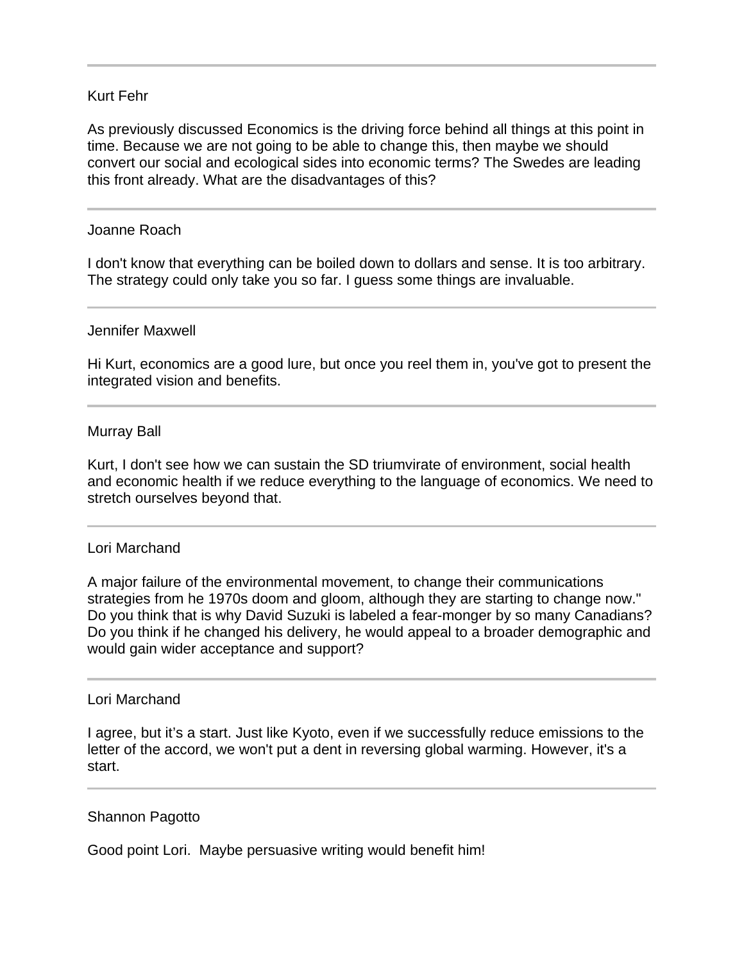# Kurt Fehr

As previously discussed Economics is the driving force behind all things at this point in time. Because we are not going to be able to change this, then maybe we should convert our social and ecological sides into economic terms? The Swedes are leading this front already. What are the disadvantages of this?

#### Joanne Roach

I

I don't know that everything can be boiled down to dollars and sense. It is too arbitrary. The strategy could only take you so far. I guess some things are invaluable.

#### Jennifer Maxwell

Hi Kurt, economics are a good lure, but once you reel them in, you've got to present the integrated vision and benefits.

#### Murray Ball

Kurt, I don't see how we can sustain the SD triumvirate of environment, social health and economic health if we reduce everything to the language of economics. We need to stretch ourselves beyond that.

#### Lori Marchand

A major failure of the environmental movement, to change their communications strategies from he 1970s doom and gloom, although they are starting to change now." Do you think that is why David Suzuki is labeled a fear-monger by so many Canadians? Do you think if he changed his delivery, he would appeal to a broader demographic and would gain wider acceptance and support?

#### Lori Marchand

I agree, but it's a start. Just like Kyoto, even if we successfully reduce emissions to the letter of the accord, we won't put a dent in reversing global warming. However, it's a start.

#### Shannon Pagotto

Good point Lori. Maybe persuasive writing would benefit him!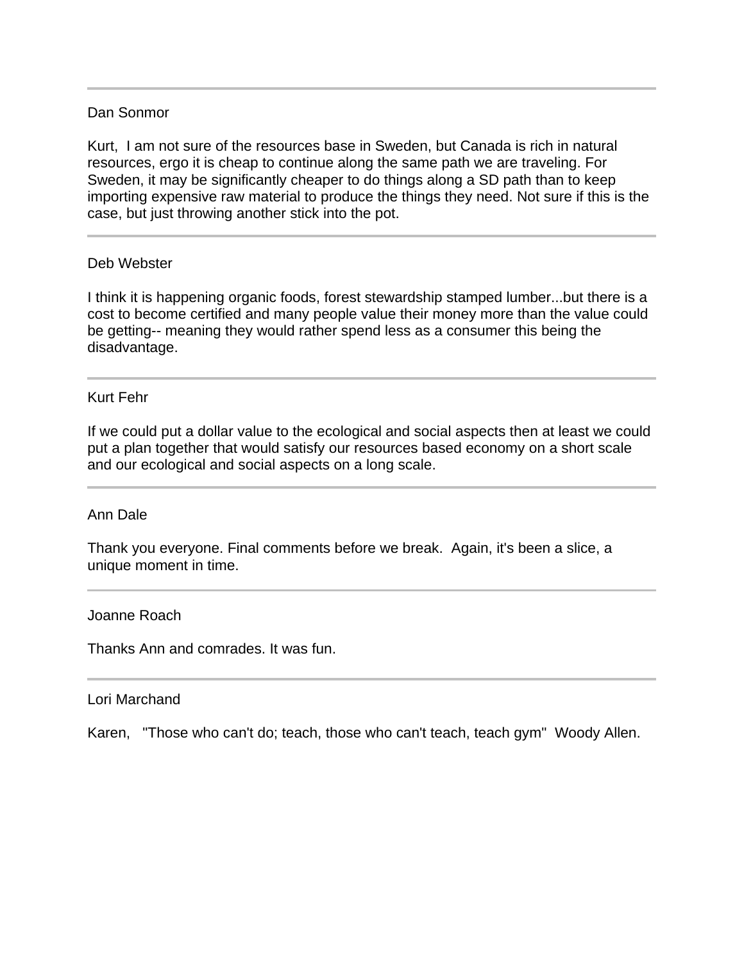## Dan Sonmor

Kurt, I am not sure of the resources base in Sweden, but Canada is rich in natural resources, ergo it is cheap to continue along the same path we are traveling. For Sweden, it may be significantly cheaper to do things along a SD path than to keep importing expensive raw material to produce the things they need. Not sure if this is the case, but just throwing another stick into the pot.

### Deb Webster

I think it is happening organic foods, forest stewardship stamped lumber...but there is a cost to become certified and many people value their money more than the value could be getting-- meaning they would rather spend less as a consumer this being the disadvantage.

## Kurt Fehr

If we could put a dollar value to the ecological and social aspects then at least we could put a plan together that would satisfy our resources based economy on a short scale and our ecological and social aspects on a long scale.

### Ann Dale

Thank you everyone. Final comments before we break. Again, it's been a slice, a unique moment in time.

### Joanne Roach

Thanks Ann and comrades. It was fun.

### Lori Marchand

I

Karen, "Those who can't do; teach, those who can't teach, teach gym" Woody Allen.